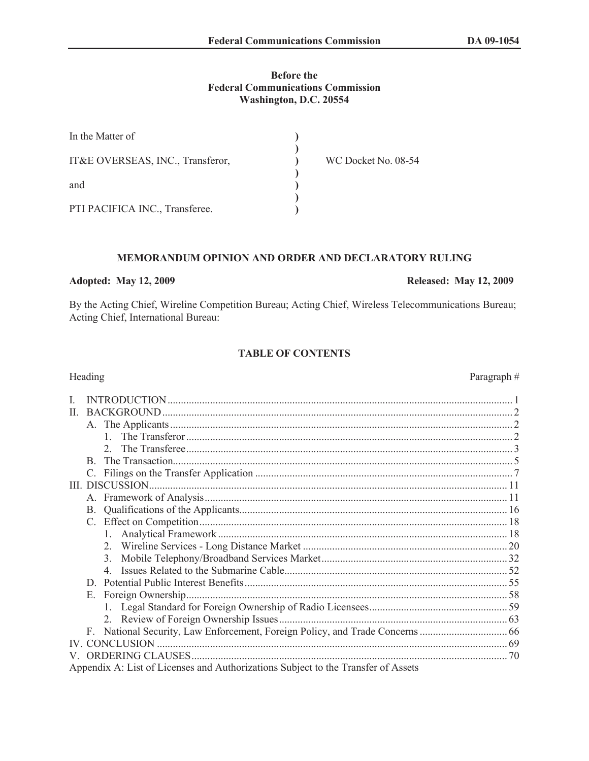# **Before the Federal Communications Commission Washington, D.C. 20554**

| In the Matter of                 |                     |
|----------------------------------|---------------------|
| IT&E OVERSEAS, INC., Transferor, | WC Docket No. 08-54 |
| and                              |                     |
| PTI PACIFICA INC., Transferee.   |                     |

# **MEMORANDUM OPINION AND ORDER AND DECLARATORY RULING**

# **Adopted: May 12, 2009 Released: May 12, 2009**

By the Acting Chief, Wireline Competition Bureau; Acting Chief, Wireless Telecommunications Bureau; Acting Chief, International Bureau:

### **TABLE OF CONTENTS**

| $\Pi$ . |                                                                                   |     |  |
|---------|-----------------------------------------------------------------------------------|-----|--|
|         |                                                                                   |     |  |
|         | $1 \quad$                                                                         |     |  |
|         | $\mathcal{D}$                                                                     |     |  |
|         |                                                                                   |     |  |
|         | B.                                                                                |     |  |
|         |                                                                                   |     |  |
|         |                                                                                   |     |  |
|         |                                                                                   |     |  |
|         |                                                                                   |     |  |
|         |                                                                                   |     |  |
|         |                                                                                   |     |  |
|         |                                                                                   |     |  |
|         | $\mathcal{E}$                                                                     |     |  |
|         |                                                                                   |     |  |
|         | D.                                                                                |     |  |
|         | Е.                                                                                |     |  |
|         |                                                                                   |     |  |
|         |                                                                                   |     |  |
|         |                                                                                   |     |  |
|         |                                                                                   |     |  |
|         |                                                                                   |     |  |
|         |                                                                                   | .70 |  |
|         | Appendix A: List of Licenses and Authorizations Subject to the Transfer of Assets |     |  |

# Heading Paragraph #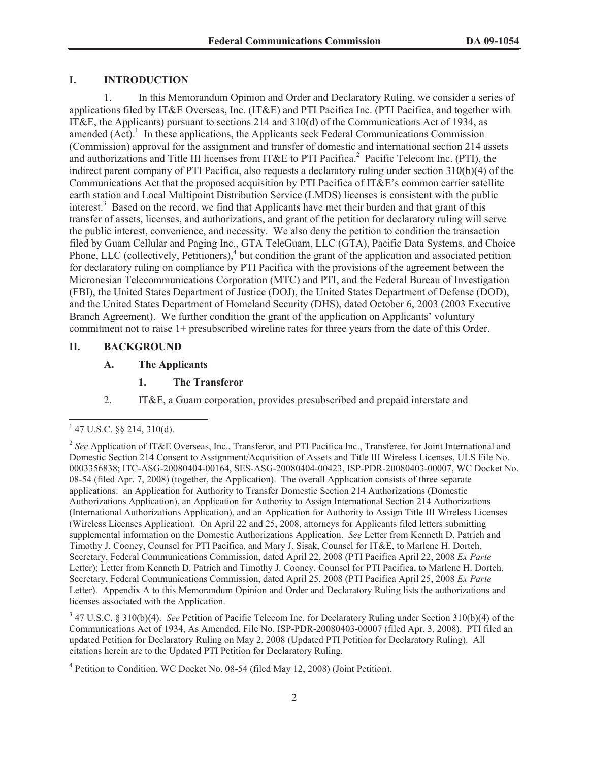# **I. INTRODUCTION**

1. In this Memorandum Opinion and Order and Declaratory Ruling, we consider a series of applications filed by IT&E Overseas, Inc. (IT&E) and PTI Pacifica Inc. (PTI Pacifica, and together with IT&E, the Applicants) pursuant to sections 214 and 310(d) of the Communications Act of 1934, as amended  $(Act)$ <sup>1</sup>. In these applications, the Applicants seek Federal Communications Commission (Commission) approval for the assignment and transfer of domestic and international section 214 assets and authorizations and Title III licenses from IT&E to PTI Pacifica.<sup>2</sup> Pacific Telecom Inc. (PTI), the indirect parent company of PTI Pacifica, also requests a declaratory ruling under section 310(b)(4) of the Communications Act that the proposed acquisition by PTI Pacifica of IT&E's common carrier satellite earth station and Local Multipoint Distribution Service (LMDS) licenses is consistent with the public interest.<sup>3</sup> Based on the record, we find that Applicants have met their burden and that grant of this transfer of assets, licenses, and authorizations, and grant of the petition for declaratory ruling will serve the public interest, convenience, and necessity. We also deny the petition to condition the transaction filed by Guam Cellular and Paging Inc., GTA TeleGuam, LLC (GTA), Pacific Data Systems, and Choice Phone, LLC (collectively, Petitioners),<sup>4</sup> but condition the grant of the application and associated petition for declaratory ruling on compliance by PTI Pacifica with the provisions of the agreement between the Micronesian Telecommunications Corporation (MTC) and PTI, and the Federal Bureau of Investigation (FBI), the United States Department of Justice (DOJ), the United States Department of Defense (DOD), and the United States Department of Homeland Security (DHS), dated October 6, 2003 (2003 Executive Branch Agreement). We further condition the grant of the application on Applicants' voluntary commitment not to raise 1+ presubscribed wireline rates for three years from the date of this Order.

#### **II. BACKGROUND**

#### **A. The Applicants**

- **1. The Transferor**
- 2. IT&E, a Guam corporation, provides presubscribed and prepaid interstate and

 $1$  47 U.S.C. §§ 214, 310(d).

<sup>2</sup> *See* Application of IT&E Overseas, Inc., Transferor, and PTI Pacifica Inc., Transferee, for Joint International and Domestic Section 214 Consent to Assignment/Acquisition of Assets and Title III Wireless Licenses, ULS File No. 0003356838; ITC-ASG-20080404-00164, SES-ASG-20080404-00423, ISP-PDR-20080403-00007, WC Docket No. 08-54 (filed Apr. 7, 2008) (together, the Application). The overall Application consists of three separate applications: an Application for Authority to Transfer Domestic Section 214 Authorizations (Domestic Authorizations Application), an Application for Authority to Assign International Section 214 Authorizations (International Authorizations Application), and an Application for Authority to Assign Title III Wireless Licenses (Wireless Licenses Application). On April 22 and 25, 2008, attorneys for Applicants filed letters submitting supplemental information on the Domestic Authorizations Application. *See* Letter from Kenneth D. Patrich and Timothy J. Cooney, Counsel for PTI Pacifica, and Mary J. Sisak, Counsel for IT&E, to Marlene H. Dortch, Secretary, Federal Communications Commission, dated April 22, 2008 (PTI Pacifica April 22, 2008 *Ex Parte*  Letter); Letter from Kenneth D. Patrich and Timothy J. Cooney, Counsel for PTI Pacifica, to Marlene H. Dortch, Secretary, Federal Communications Commission, dated April 25, 2008 (PTI Pacifica April 25, 2008 *Ex Parte* Letter). Appendix A to this Memorandum Opinion and Order and Declaratory Ruling lists the authorizations and licenses associated with the Application.

<sup>3</sup> 47 U.S.C. § 310(b)(4). *See* Petition of Pacific Telecom Inc. for Declaratory Ruling under Section 310(b)(4) of the Communications Act of 1934, As Amended, File No. ISP-PDR-20080403-00007 (filed Apr. 3, 2008). PTI filed an updated Petition for Declaratory Ruling on May 2, 2008 (Updated PTI Petition for Declaratory Ruling). All citations herein are to the Updated PTI Petition for Declaratory Ruling.

<sup>&</sup>lt;sup>4</sup> Petition to Condition, WC Docket No. 08-54 (filed May 12, 2008) (Joint Petition).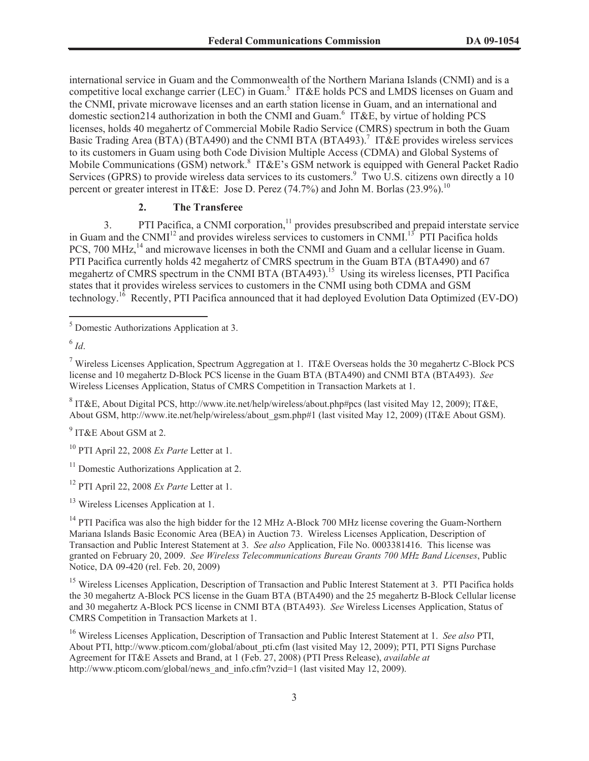international service in Guam and the Commonwealth of the Northern Mariana Islands (CNMI) and is a competitive local exchange carrier (LEC) in Guam.<sup>5</sup> IT&E holds PCS and LMDS licenses on Guam and the CNMI, private microwave licenses and an earth station license in Guam, and an international and domestic section214 authorization in both the CNMI and Guam.<sup>6</sup> IT&E, by virtue of holding PCS licenses, holds 40 megahertz of Commercial Mobile Radio Service (CMRS) spectrum in both the Guam Basic Trading Area (BTA) (BTA490) and the CNMI BTA (BTA493).<sup>7</sup> IT&E provides wireless services to its customers in Guam using both Code Division Multiple Access (CDMA) and Global Systems of Mobile Communications (GSM) network.<sup>8</sup> IT&E's GSM network is equipped with General Packet Radio Services (GPRS) to provide wireless data services to its customers.<sup>9</sup> Two  $\overline{U}$ .S. citizens own directly a 10 percent or greater interest in IT&E: Jose D. Perez (74.7%) and John M. Borlas (23.9%).<sup>10</sup>

## **2. The Transferee**

3. PTI Pacifica, a CNMI corporation,<sup>11</sup> provides presubscribed and prepaid interstate service in Guam and the CNMI<sup>12</sup> and provides wireless services to customers in CNMI.<sup>13</sup> PTI Pacifica holds PCS, 700 MHz,<sup>14</sup> and microwave licenses in both the CNMI and Guam and a cellular license in Guam. PTI Pacifica currently holds 42 megahertz of CMRS spectrum in the Guam BTA (BTA490) and 67 megahertz of CMRS spectrum in the CNMI BTA (BTA493).<sup>15</sup> Using its wireless licenses, PTI Pacifica states that it provides wireless services to customers in the CNMI using both CDMA and GSM technology.<sup>16</sup> Recently, PTI Pacifica announced that it had deployed Evolution Data Optimized (EV-DO)

<sup>7</sup> Wireless Licenses Application, Spectrum Aggregation at 1. IT&E Overseas holds the 30 megahertz C-Block PCS license and 10 megahertz D-Block PCS license in the Guam BTA (BTA490) and CNMI BTA (BTA493). *See* Wireless Licenses Application, Status of CMRS Competition in Transaction Markets at 1.

<sup>8</sup> IT&E, About Digital PCS, http://www.ite.net/help/wireless/about.php#pcs (last visited May 12, 2009); IT&E, About GSM, http://www.ite.net/help/wireless/about\_gsm.php#1 (last visited May 12, 2009) (IT&E About GSM).

<sup>9</sup> IT&E About GSM at 2.

<sup>14</sup> PTI Pacifica was also the high bidder for the 12 MHz A-Block 700 MHz license covering the Guam-Northern Mariana Islands Basic Economic Area (BEA) in Auction 73. Wireless Licenses Application, Description of Transaction and Public Interest Statement at 3. *See also* Application, File No. 0003381416. This license was granted on February 20, 2009. *See Wireless Telecommunications Bureau Grants 700 MHz Band Licenses*, Public Notice, DA 09-420 (rel. Feb. 20, 2009)

<sup>15</sup> Wireless Licenses Application, Description of Transaction and Public Interest Statement at 3. PTI Pacifica holds the 30 megahertz A-Block PCS license in the Guam BTA (BTA490) and the 25 megahertz B-Block Cellular license and 30 megahertz A-Block PCS license in CNMI BTA (BTA493). *See* Wireless Licenses Application, Status of CMRS Competition in Transaction Markets at 1.

<sup>16</sup> Wireless Licenses Application, Description of Transaction and Public Interest Statement at 1. *See also* PTI, About PTI, http://www.pticom.com/global/about\_pti.cfm (last visited May 12, 2009); PTI, PTI Signs Purchase Agreement for IT&E Assets and Brand, at 1 (Feb. 27, 2008) (PTI Press Release), *available at* http://www.pticom.com/global/news\_and\_info.cfm?vzid=1 (last visited May 12, 2009).

<sup>5</sup> Domestic Authorizations Application at 3.

<sup>6</sup> *Id*.

<sup>10</sup> PTI April 22, 2008 *Ex Parte* Letter at 1.

<sup>&</sup>lt;sup>11</sup> Domestic Authorizations Application at 2.

<sup>12</sup> PTI April 22, 2008 *Ex Parte* Letter at 1.

<sup>&</sup>lt;sup>13</sup> Wireless Licenses Application at 1.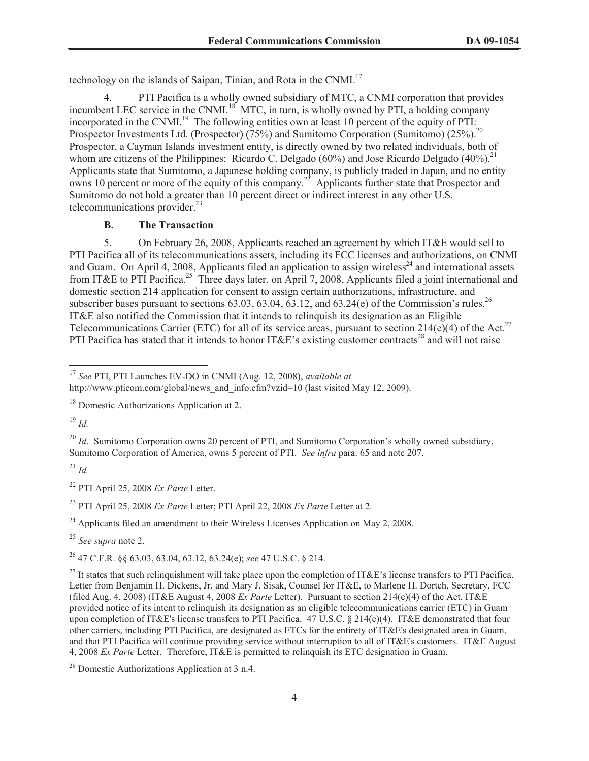technology on the islands of Saipan, Tinian, and Rota in the CNMI.<sup>17</sup>

PTI Pacifica is a wholly owned subsidiary of MTC, a CNMI corporation that provides incumbent LEC service in the CNMI.<sup>18</sup> MTC, in turn, is wholly owned by PTI, a holding company incorporated in the CNMI.<sup>19</sup> The following entities own at least 10 percent of the equity of PTI: Prospector Investments Ltd. (Prospector) (75%) and Sumitomo Corporation (Sumitomo) (25%).<sup>20</sup> Prospector, a Cayman Islands investment entity, is directly owned by two related individuals, both of whom are citizens of the Philippines: Ricardo C. Delgado (60%) and Jose Ricardo Delgado (40%).<sup>21</sup> Applicants state that Sumitomo, a Japanese holding company, is publicly traded in Japan, and no entity owns 10 percent or more of the equity of this company.<sup>22</sup> Applicants further state that Prospector and Sumitomo do not hold a greater than 10 percent direct or indirect interest in any other U.S. telecommunications provider.<sup>23</sup>

## **B. The Transaction**

5. On February 26, 2008, Applicants reached an agreement by which IT&E would sell to PTI Pacifica all of its telecommunications assets, including its FCC licenses and authorizations, on CNMI and Guam. On April 4, 2008, Applicants filed an application to assign wireless<sup>24</sup> and international assets from IT&E to PTI Pacifica.<sup>25</sup> Three days later, on April 7, 2008, Applicants filed a joint international and domestic section 214 application for consent to assign certain authorizations, infrastructure, and subscriber bases pursuant to sections  $63.03$ ,  $63.04$ ,  $63.12$ , and  $63.24$ (e) of the Commission's rules.<sup>26</sup> IT&E also notified the Commission that it intends to relinquish its designation as an Eligible Telecommunications Carrier (ETC) for all of its service areas, pursuant to section 214(e)(4) of the Act.<sup>27</sup> PTI Pacifica has stated that it intends to honor IT&E's existing customer contracts<sup>28</sup> and will not raise

<sup>19</sup> *Id.*

<sup>20</sup> *Id.* Sumitomo Corporation owns 20 percent of PTI, and Sumitomo Corporation's wholly owned subsidiary, Sumitomo Corporation of America, owns 5 percent of PTI. *See infra* para. 65 and note 207.

<sup>21</sup> *Id.*

<sup>22</sup> PTI April 25, 2008 *Ex Parte* Letter.

<sup>23</sup> PTI April 25, 2008 *Ex Parte* Letter; PTI April 22, 2008 *Ex Parte* Letter at 2.

 $24$  Applicants filed an amendment to their Wireless Licenses Application on May 2, 2008.

<sup>25</sup> *See supra* note 2.

<sup>26</sup> 47 C.F.R. §§ 63.03, 63.04, 63.12, 63.24(e); *see* 47 U.S.C. § 214.

<sup>17</sup> *See* PTI, PTI Launches EV-DO in CNMI (Aug. 12, 2008), *available at*

http://www.pticom.com/global/news\_and\_info.cfm?vzid=10 (last visited May 12, 2009).

<sup>18</sup> Domestic Authorizations Application at 2.

<sup>&</sup>lt;sup>27</sup> It states that such relinquishment will take place upon the completion of IT&E's license transfers to PTI Pacifica. Letter from Benjamin H. Dickens, Jr. and Mary J. Sisak, Counsel for IT&E, to Marlene H. Dortch, Secretary, FCC (filed Aug. 4, 2008) (IT&E August 4, 2008 *Ex Parte* Letter). Pursuant to section 214(e)(4) of the Act, IT&E provided notice of its intent to relinquish its designation as an eligible telecommunications carrier (ETC) in Guam upon completion of IT&E's license transfers to PTI Pacifica. 47 U.S.C. § 214(e)(4). IT&E demonstrated that four other carriers, including PTI Pacifica, are designated as ETCs for the entirety of IT&E's designated area in Guam, and that PTI Pacifica will continue providing service without interruption to all of IT&E's customers. IT&E August 4, 2008 *Ex Parte* Letter. Therefore, IT&E is permitted to relinquish its ETC designation in Guam.

<sup>28</sup> Domestic Authorizations Application at 3 n.4.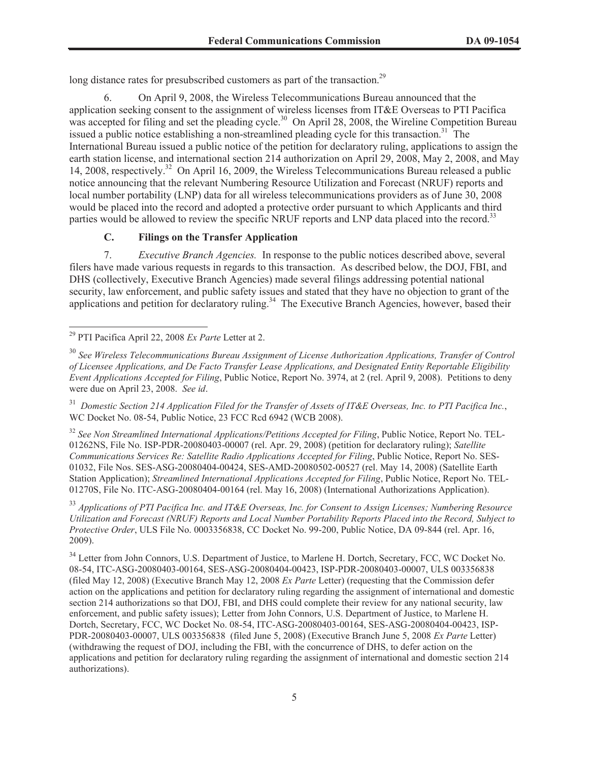long distance rates for presubscribed customers as part of the transaction.<sup>29</sup>

6. On April 9, 2008, the Wireless Telecommunications Bureau announced that the application seeking consent to the assignment of wireless licenses from IT&E Overseas to PTI Pacifica was accepted for filing and set the pleading cycle.<sup>30</sup> On April 28, 2008, the Wireline Competition Bureau issued a public notice establishing a non-streamlined pleading cycle for this transaction.<sup>31</sup> The International Bureau issued a public notice of the petition for declaratory ruling, applications to assign the earth station license, and international section 214 authorization on April 29, 2008, May 2, 2008, and May 14, 2008, respectively.<sup>32</sup> On April 16, 2009, the Wireless Telecommunications Bureau released a public notice announcing that the relevant Numbering Resource Utilization and Forecast (NRUF) reports and local number portability (LNP) data for all wireless telecommunications providers as of June 30, 2008 would be placed into the record and adopted a protective order pursuant to which Applicants and third parties would be allowed to review the specific NRUF reports and LNP data placed into the record.<sup>33</sup>

## **C. Filings on the Transfer Application**

7. *Executive Branch Agencies.* In response to the public notices described above, several filers have made various requests in regards to this transaction. As described below, the DOJ, FBI, and DHS (collectively, Executive Branch Agencies) made several filings addressing potential national security, law enforcement, and public safety issues and stated that they have no objection to grant of the applications and petition for declaratory ruling.<sup>34</sup> The Executive Branch Agencies, however, based their

<sup>31</sup> *Domestic Section 214 Application Filed for the Transfer of Assets of IT&E Overseas, Inc. to PTI Pacifica Inc.*, WC Docket No. 08-54, Public Notice, 23 FCC Rcd 6942 (WCB 2008).

<sup>32</sup> See Non Streamlined International Applications/Petitions Accepted for Filing, Public Notice, Report No. TEL-01262NS, File No. ISP-PDR-20080403-00007 (rel. Apr. 29, 2008) (petition for declaratory ruling); *Satellite Communications Services Re: Satellite Radio Applications Accepted for Filing*, Public Notice, Report No. SES-01032, File Nos. SES-ASG-20080404-00424, SES-AMD-20080502-00527 (rel. May 14, 2008) (Satellite Earth Station Application); *Streamlined International Applications Accepted for Filing*, Public Notice, Report No. TEL-01270S, File No. ITC-ASG-20080404-00164 (rel. May 16, 2008) (International Authorizations Application).

<sup>33</sup> *Applications of PTI Pacifica Inc. and IT&E Overseas, Inc. for Consent to Assign Licenses; Numbering Resource Utilization and Forecast (NRUF) Reports and Local Number Portability Reports Placed into the Record, Subject to Protective Order*, ULS File No. 0003356838, CC Docket No. 99-200, Public Notice, DA 09-844 (rel. Apr. 16, 2009).

<sup>34</sup> Letter from John Connors, U.S. Department of Justice, to Marlene H. Dortch, Secretary, FCC, WC Docket No. 08-54, ITC-ASG-20080403-00164, SES-ASG-20080404-00423, ISP-PDR-20080403-00007, ULS 003356838 (filed May 12, 2008) (Executive Branch May 12, 2008 *Ex Parte* Letter) (requesting that the Commission defer action on the applications and petition for declaratory ruling regarding the assignment of international and domestic section 214 authorizations so that DOJ, FBI, and DHS could complete their review for any national security, law enforcement, and public safety issues); Letter from John Connors, U.S. Department of Justice, to Marlene H. Dortch, Secretary, FCC, WC Docket No. 08-54, ITC-ASG-20080403-00164, SES-ASG-20080404-00423, ISP-PDR-20080403-00007, ULS 003356838 (filed June 5, 2008) (Executive Branch June 5, 2008 *Ex Parte* Letter) (withdrawing the request of DOJ, including the FBI, with the concurrence of DHS, to defer action on the applications and petition for declaratory ruling regarding the assignment of international and domestic section 214 authorizations).

<sup>29</sup> PTI Pacifica April 22, 2008 *Ex Parte* Letter at 2.

<sup>30</sup> *See Wireless Telecommunications Bureau Assignment of License Authorization Applications, Transfer of Control of Licensee Applications, and De Facto Transfer Lease Applications, and Designated Entity Reportable Eligibility Event Applications Accepted for Filing*, Public Notice, Report No. 3974, at 2 (rel. April 9, 2008). Petitions to deny were due on April 23, 2008. *See id*.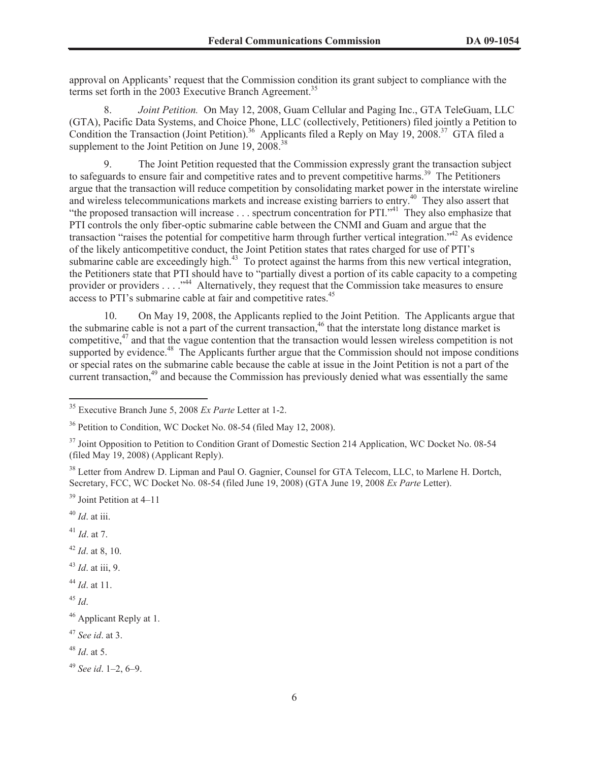approval on Applicants' request that the Commission condition its grant subject to compliance with the terms set forth in the 2003 Executive Branch Agreement.<sup>35</sup>

8. *Joint Petition.* On May 12, 2008, Guam Cellular and Paging Inc., GTA TeleGuam, LLC (GTA), Pacific Data Systems, and Choice Phone, LLC (collectively, Petitioners) filed jointly a Petition to Condition the Transaction (Joint Petition).<sup>36</sup> Applicants filed a Reply on May 19, 2008.<sup>37</sup> GTA filed a supplement to the Joint Petition on June  $19, 2008$ <sup>38</sup>

9. The Joint Petition requested that the Commission expressly grant the transaction subject to safeguards to ensure fair and competitive rates and to prevent competitive harms.<sup>39</sup> The Petitioners argue that the transaction will reduce competition by consolidating market power in the interstate wireline and wireless telecommunications markets and increase existing barriers to entry.<sup>40</sup> They also assert that "the proposed transaction will increase . . . spectrum concentration for PTI."<sup>41</sup> They also emphasize that PTI controls the only fiber-optic submarine cable between the CNMI and Guam and argue that the transaction "raises the potential for competitive harm through further vertical integration."<sup>42</sup> As evidence of the likely anticompetitive conduct, the Joint Petition states that rates charged for use of PTI's submarine cable are exceedingly high.<sup>43</sup> To protect against the harms from this new vertical integration, the Petitioners state that PTI should have to "partially divest a portion of its cable capacity to a competing provider or providers . . . .<sup>44</sup> Alternatively, they request that the Commission take measures to ensure access to PTI's submarine cable at fair and competitive rates.<sup>45</sup>

10. On May 19, 2008, the Applicants replied to the Joint Petition. The Applicants argue that the submarine cable is not a part of the current transaction,<sup>46</sup> that the interstate long distance market is competitive,<sup>47</sup> and that the vague contention that the transaction would lessen wireless competition is not supported by evidence.<sup>48</sup> The Applicants further argue that the Commission should not impose conditions or special rates on the submarine cable because the cable at issue in the Joint Petition is not a part of the current transaction,<sup>49</sup> and because the Commission has previously denied what was essentially the same

 $39$  Joint Petition at 4–11

<sup>41</sup> *Id*. at 7.

<sup>42</sup> *Id*. at 8, 10.

<sup>43</sup> *Id*. at iii, 9.

<sup>44</sup> *Id*. at 11.

<sup>45</sup> *Id*.

<sup>49</sup> *See id*. 1–2, 6–9.

<sup>35</sup> Executive Branch June 5, 2008 *Ex Parte* Letter at 1-2.

<sup>&</sup>lt;sup>36</sup> Petition to Condition, WC Docket No. 08-54 (filed May 12, 2008).

<sup>&</sup>lt;sup>37</sup> Joint Opposition to Petition to Condition Grant of Domestic Section 214 Application, WC Docket No. 08-54 (filed May 19, 2008) (Applicant Reply).

<sup>&</sup>lt;sup>38</sup> Letter from Andrew D. Lipman and Paul O. Gagnier, Counsel for GTA Telecom, LLC, to Marlene H. Dortch, Secretary, FCC, WC Docket No. 08-54 (filed June 19, 2008) (GTA June 19, 2008 *Ex Parte* Letter).

<sup>40</sup> *Id*. at iii.

<sup>&</sup>lt;sup>46</sup> Applicant Reply at 1.

<sup>47</sup> *See id*. at 3.

<sup>48</sup> *Id*. at 5.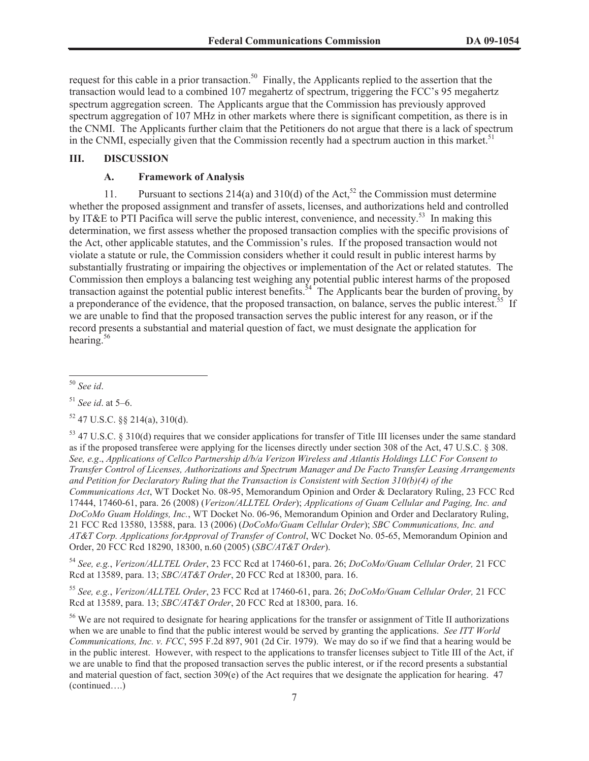request for this cable in a prior transaction.<sup>50</sup> Finally, the Applicants replied to the assertion that the transaction would lead to a combined 107 megahertz of spectrum, triggering the FCC's 95 megahertz spectrum aggregation screen. The Applicants argue that the Commission has previously approved spectrum aggregation of 107 MHz in other markets where there is significant competition, as there is in the CNMI. The Applicants further claim that the Petitioners do not argue that there is a lack of spectrum in the CNMI, especially given that the Commission recently had a spectrum auction in this market.<sup>51</sup>

# **III. DISCUSSION**

#### **A. Framework of Analysis**

11. Pursuant to sections 214(a) and 310(d) of the Act,<sup>52</sup> the Commission must determine whether the proposed assignment and transfer of assets, licenses, and authorizations held and controlled by IT&E to PTI Pacifica will serve the public interest, convenience, and necessity.<sup>53</sup> In making this determination, we first assess whether the proposed transaction complies with the specific provisions of the Act, other applicable statutes, and the Commission's rules. If the proposed transaction would not violate a statute or rule, the Commission considers whether it could result in public interest harms by substantially frustrating or impairing the objectives or implementation of the Act or related statutes. The Commission then employs a balancing test weighing any potential public interest harms of the proposed transaction against the potential public interest benefits.<sup>54</sup> The Applicants bear the burden of proving, by a preponderance of the evidence, that the proposed transaction, on balance, serves the public interest.<sup>55</sup> If we are unable to find that the proposed transaction serves the public interest for any reason, or if the record presents a substantial and material question of fact, we must designate the application for hearing.<sup>56</sup>

<sup>50</sup> *See id*.

 $53$  47 U.S.C. § 310(d) requires that we consider applications for transfer of Title III licenses under the same standard as if the proposed transferee were applying for the licenses directly under section 308 of the Act, 47 U.S.C. § 308. *See, e.g*., *Applications of Cellco Partnership d/b/a Verizon Wireless and Atlantis Holdings LLC For Consent to Transfer Control of Licenses, Authorizations and Spectrum Manager and De Facto Transfer Leasing Arrangements and Petition for Declaratory Ruling that the Transaction is Consistent with Section 310(b)(4) of the Communications Act*, WT Docket No. 08-95, Memorandum Opinion and Order & Declaratory Ruling, 23 FCC Rcd 17444, 17460-61, para. 26 (2008) (*Verizon/ALLTEL Order*); *Applications of Guam Cellular and Paging, Inc. and DoCoMo Guam Holdings, Inc.*, WT Docket No. 06-96, Memorandum Opinion and Order and Declaratory Ruling, 21 FCC Rcd 13580, 13588, para. 13 (2006) (*DoCoMo/Guam Cellular Order*); *SBC Communications, Inc. and AT&T Corp. Applications forApproval of Transfer of Control*, WC Docket No. 05-65, Memorandum Opinion and Order, 20 FCC Rcd 18290, 18300, n.60 (2005) (*SBC/AT&T Order*).

<sup>54</sup> *See, e.g.*, *Verizon/ALLTEL Order*, 23 FCC Rcd at 17460-61, para. 26; *DoCoMo/Guam Cellular Order,* 21 FCC Rcd at 13589, para. 13; *SBC/AT&T Order*, 20 FCC Rcd at 18300, para. 16.

<sup>55</sup> *See, e.g.*, *Verizon/ALLTEL Order*, 23 FCC Rcd at 17460-61, para. 26; *DoCoMo/Guam Cellular Order,* 21 FCC Rcd at 13589, para. 13; *SBC/AT&T Order*, 20 FCC Rcd at 18300, para. 16.

<sup>56</sup> We are not required to designate for hearing applications for the transfer or assignment of Title II authorizations when we are unable to find that the public interest would be served by granting the applications. *See ITT World Communications, Inc. v. FCC*, 595 F.2d 897, 901 (2d Cir. 1979). We may do so if we find that a hearing would be in the public interest. However, with respect to the applications to transfer licenses subject to Title III of the Act, if we are unable to find that the proposed transaction serves the public interest, or if the record presents a substantial and material question of fact, section  $309(e)$  of the Act requires that we designate the application for hearing. 47 (continued….)

<sup>51</sup> *See id*. at 5–6.

 $52$  47 U.S.C.  $\frac{88}{214(a)}$ , 310(d).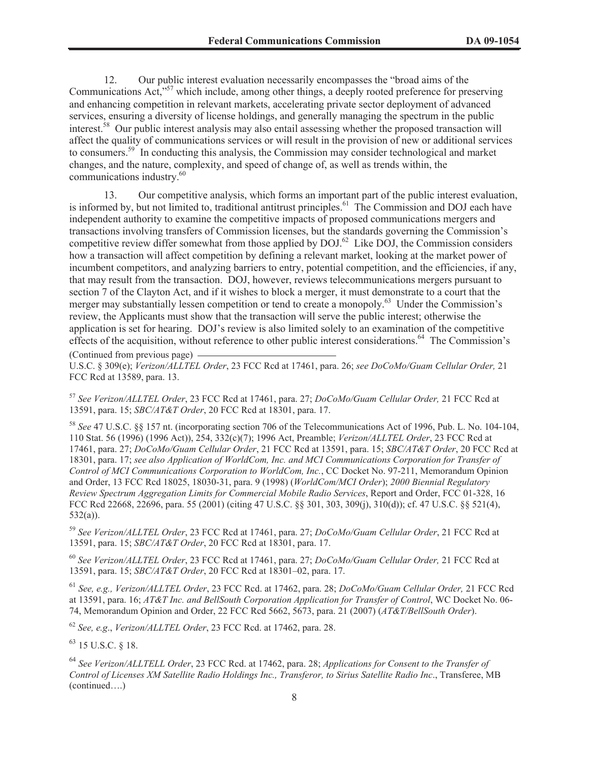12. Our public interest evaluation necessarily encompasses the "broad aims of the Communications Act,<sup>57</sup> which include, among other things, a deeply rooted preference for preserving and enhancing competition in relevant markets, accelerating private sector deployment of advanced services, ensuring a diversity of license holdings, and generally managing the spectrum in the public interest.<sup>58</sup> Our public interest analysis may also entail assessing whether the proposed transaction will affect the quality of communications services or will result in the provision of new or additional services to consumers.<sup>59</sup> In conducting this analysis, the Commission may consider technological and market changes, and the nature, complexity, and speed of change of, as well as trends within, the communications industry.<sup>60</sup>

13. Our competitive analysis, which forms an important part of the public interest evaluation, is informed by, but not limited to, traditional antitrust principles.<sup>61</sup> The Commission and DOJ each have independent authority to examine the competitive impacts of proposed communications mergers and transactions involving transfers of Commission licenses, but the standards governing the Commission's competitive review differ somewhat from those applied by  $DOL^{62}$  Like  $DOL$ , the Commission considers how a transaction will affect competition by defining a relevant market, looking at the market power of incumbent competitors, and analyzing barriers to entry, potential competition, and the efficiencies, if any, that may result from the transaction. DOJ, however, reviews telecommunications mergers pursuant to section 7 of the Clayton Act, and if it wishes to block a merger, it must demonstrate to a court that the merger may substantially lessen competition or tend to create a monopoly.<sup>63</sup> Under the Commission's review, the Applicants must show that the transaction will serve the public interest; otherwise the application is set for hearing. DOJ's review is also limited solely to an examination of the competitive effects of the acquisition, without reference to other public interest considerations.<sup>64</sup> The Commission's

(Continued from previous page)

U.S.C. § 309(e); *Verizon/ALLTEL Order*, 23 FCC Rcd at 17461, para. 26; *see DoCoMo/Guam Cellular Order,* 21 FCC Rcd at 13589, para. 13.

<sup>57</sup> *See Verizon/ALLTEL Order*, 23 FCC Rcd at 17461, para. 27; *DoCoMo/Guam Cellular Order,* 21 FCC Rcd at 13591, para. 15; *SBC/AT&T Order*, 20 FCC Rcd at 18301, para. 17.

<sup>58</sup> *See* 47 U.S.C. §§ 157 nt. (incorporating section 706 of the Telecommunications Act of 1996, Pub. L. No. 104-104, 110 Stat. 56 (1996) (1996 Act)), 254, 332(c)(7); 1996 Act, Preamble; *Verizon/ALLTEL Order*, 23 FCC Rcd at 17461, para. 27; *DoCoMo/Guam Cellular Order*, 21 FCC Rcd at 13591, para. 15; *SBC/AT&T Order*, 20 FCC Rcd at 18301, para. 17; *see also Application of WorldCom, Inc. and MCI Communications Corporation for Transfer of Control of MCI Communications Corporation to WorldCom, Inc.*, CC Docket No. 97-211, Memorandum Opinion and Order, 13 FCC Rcd 18025, 18030-31, para. 9 (1998) (*WorldCom/MCI Order*); *2000 Biennial Regulatory Review Spectrum Aggregation Limits for Commercial Mobile Radio Services*, Report and Order, FCC 01-328, 16 FCC Rcd 22668, 22696, para. 55 (2001) (citing 47 U.S.C. §§ 301, 303, 309(j), 310(d)); cf. 47 U.S.C. §§ 521(4), 532(a)).

<sup>59</sup> *See Verizon/ALLTEL Order*, 23 FCC Rcd at 17461, para. 27; *DoCoMo/Guam Cellular Order*, 21 FCC Rcd at 13591, para. 15; *SBC/AT&T Order*, 20 FCC Rcd at 18301, para. 17.

<sup>60</sup> *See Verizon/ALLTEL Order*, 23 FCC Rcd at 17461, para. 27; *DoCoMo/Guam Cellular Order,* 21 FCC Rcd at 13591, para. 15; *SBC/AT&T Order*, 20 FCC Rcd at 18301–02, para. 17.

<sup>61</sup> *See, e.g., Verizon/ALLTEL Order*, 23 FCC Rcd. at 17462, para. 28; *DoCoMo/Guam Cellular Order,* 21 FCC Rcd at 13591, para. 16; *AT&T Inc. and BellSouth Corporation Application for Transfer of Control*, WC Docket No. 06- 74, Memorandum Opinion and Order, 22 FCC Rcd 5662, 5673, para. 21 (2007) (*AT&T/BellSouth Order*).

<sup>62</sup> *See, e.g*., *Verizon/ALLTEL Order*, 23 FCC Rcd. at 17462, para. 28.

<sup>63</sup> 15 U.S.C. § 18.

<sup>64</sup> *See Verizon/ALLTELL Order*, 23 FCC Rcd. at 17462, para. 28; *Applications for Consent to the Transfer of Control of Licenses XM Satellite Radio Holdings Inc., Transferor, to Sirius Satellite Radio Inc*., Transferee, MB (continued….)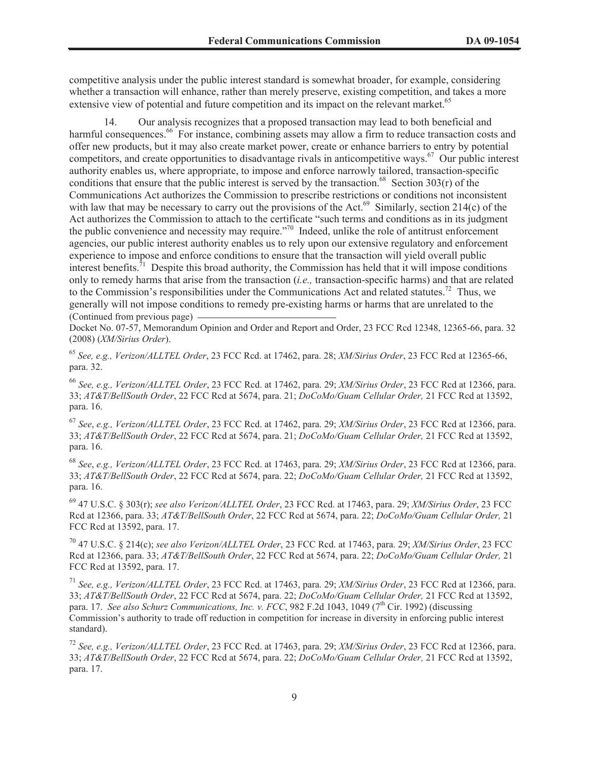competitive analysis under the public interest standard is somewhat broader, for example, considering whether a transaction will enhance, rather than merely preserve, existing competition, and takes a more extensive view of potential and future competition and its impact on the relevant market.<sup>65</sup>

14. Our analysis recognizes that a proposed transaction may lead to both beneficial and harmful consequences.<sup>66</sup> For instance, combining assets may allow a firm to reduce transaction costs and offer new products, but it may also create market power, create or enhance barriers to entry by potential competitors, and create opportunities to disadvantage rivals in anticompetitive ways.<sup>67</sup> Our public interest authority enables us, where appropriate, to impose and enforce narrowly tailored, transaction-specific conditions that ensure that the public interest is served by the transaction.<sup>68</sup> Section 303(r) of the Communications Act authorizes the Commission to prescribe restrictions or conditions not inconsistent with law that may be necessary to carry out the provisions of the Act.<sup>69</sup> Similarly, section 214(c) of the Act authorizes the Commission to attach to the certificate "such terms and conditions as in its judgment the public convenience and necessity may require."<sup>70</sup> Indeed, unlike the role of antitrust enforcement agencies, our public interest authority enables us to rely upon our extensive regulatory and enforcement experience to impose and enforce conditions to ensure that the transaction will yield overall public interest benefits.<sup>71</sup> Despite this broad authority, the Commission has held that it will impose conditions only to remedy harms that arise from the transaction (*i.e.,* transaction-specific harms) and that are related to the Commission's responsibilities under the Communications Act and related statutes.<sup>72</sup> Thus, we generally will not impose conditions to remedy pre-existing harms or harms that are unrelated to the (Continued from previous page)

Docket No. 07-57, Memorandum Opinion and Order and Report and Order, 23 FCC Rcd 12348, 12365-66, para. 32 (2008) (*XM/Sirius Order*).

<sup>65</sup> *See, e.g., Verizon/ALLTEL Order*, 23 FCC Rcd. at 17462, para. 28; *XM/Sirius Order*, 23 FCC Rcd at 12365-66, para. 32.

<sup>66</sup> *See, e.g., Verizon/ALLTEL Order*, 23 FCC Rcd. at 17462, para. 29; *XM/Sirius Order*, 23 FCC Rcd at 12366, para. 33; *AT&T/BellSouth Order*, 22 FCC Rcd at 5674, para. 21; *DoCoMo/Guam Cellular Order,* 21 FCC Rcd at 13592, para. 16.

<sup>67</sup> *See*, *e.g., Verizon/ALLTEL Order*, 23 FCC Rcd. at 17462, para. 29; *XM/Sirius Order*, 23 FCC Rcd at 12366, para. 33; *AT&T/BellSouth Order*, 22 FCC Rcd at 5674, para. 21; *DoCoMo/Guam Cellular Order,* 21 FCC Rcd at 13592, para. 16.

<sup>68</sup> *See*, *e.g., Verizon/ALLTEL Order*, 23 FCC Rcd. at 17463, para. 29; *XM/Sirius Order*, 23 FCC Rcd at 12366, para. 33; *AT&T/BellSouth Order*, 22 FCC Rcd at 5674, para. 22; *DoCoMo/Guam Cellular Order,* 21 FCC Rcd at 13592, para. 16.

<sup>69</sup> 47 U.S.C. § 303(r); *see also Verizon/ALLTEL Order*, 23 FCC Rcd. at 17463, para. 29; *XM/Sirius Order*, 23 FCC Rcd at 12366, para. 33; *AT&T/BellSouth Order*, 22 FCC Rcd at 5674, para. 22; *DoCoMo/Guam Cellular Order,* 21 FCC Rcd at 13592, para. 17.

<sup>70</sup> 47 U.S.C. § 214(c); *see also Verizon/ALLTEL Order*, 23 FCC Rcd. at 17463, para. 29; *XM/Sirius Order*, 23 FCC Rcd at 12366, para. 33; *AT&T/BellSouth Order*, 22 FCC Rcd at 5674, para. 22; *DoCoMo/Guam Cellular Order,* 21 FCC Rcd at 13592, para. 17.

<sup>71</sup> *See, e.g., Verizon/ALLTEL Order*, 23 FCC Rcd. at 17463, para. 29; *XM/Sirius Order*, 23 FCC Rcd at 12366, para. 33; *AT&T/BellSouth Order*, 22 FCC Rcd at 5674, para. 22; *DoCoMo/Guam Cellular Order,* 21 FCC Rcd at 13592, para. 17. *See also Schurz Communications, Inc. v. FCC*, 982 F.2d 1043, 1049 (7<sup>th</sup> Cir. 1992) (discussing Commission's authority to trade off reduction in competition for increase in diversity in enforcing public interest standard).

<sup>72</sup> *See, e.g., Verizon/ALLTEL Order*, 23 FCC Rcd. at 17463, para. 29; *XM/Sirius Order*, 23 FCC Rcd at 12366, para. 33; *AT&T/BellSouth Order*, 22 FCC Rcd at 5674, para. 22; *DoCoMo/Guam Cellular Order,* 21 FCC Rcd at 13592, para. 17.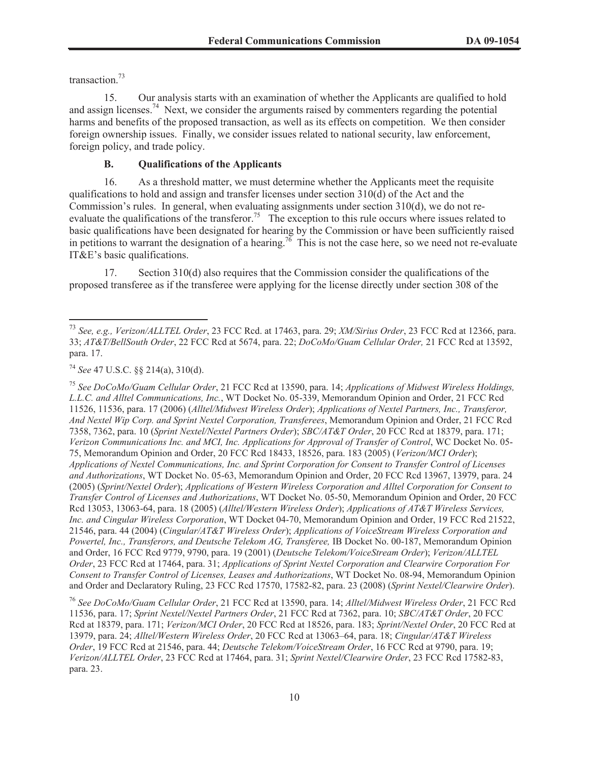transaction.<sup>73</sup>

15. Our analysis starts with an examination of whether the Applicants are qualified to hold and assign licenses.<sup>74</sup> Next, we consider the arguments raised by commenters regarding the potential harms and benefits of the proposed transaction, as well as its effects on competition. We then consider foreign ownership issues. Finally, we consider issues related to national security, law enforcement, foreign policy, and trade policy.

# **B. Qualifications of the Applicants**

16. As a threshold matter, we must determine whether the Applicants meet the requisite qualifications to hold and assign and transfer licenses under section 310(d) of the Act and the Commission's rules. In general, when evaluating assignments under section 310(d), we do not reevaluate the qualifications of the transferor.<sup>75</sup> The exception to this rule occurs where issues related to basic qualifications have been designated for hearing by the Commission or have been sufficiently raised in petitions to warrant the designation of a hearing.<sup>76</sup> This is not the case here, so we need not re-evaluate IT&E's basic qualifications.

17. Section 310(d) also requires that the Commission consider the qualifications of the proposed transferee as if the transferee were applying for the license directly under section 308 of the

<sup>75</sup> *See DoCoMo/Guam Cellular Order*, 21 FCC Rcd at 13590, para. 14; *Applications of Midwest Wireless Holdings, L.L.C. and Alltel Communications, Inc.*, WT Docket No. 05-339, Memorandum Opinion and Order, 21 FCC Rcd 11526, 11536, para. 17 (2006) (*Alltel/Midwest Wireless Order*); *Applications of Nextel Partners, Inc., Transferor, And Nextel Wip Corp. and Sprint Nextel Corporation, Transferees*, Memorandum Opinion and Order, 21 FCC Rcd 7358, 7362, para. 10 (*Sprint Nextel/Nextel Partners Order*); *SBC/AT&T Order*, 20 FCC Rcd at 18379, para. 171; *Verizon Communications Inc. and MCI, Inc. Applications for Approval of Transfer of Control*, WC Docket No. 05- 75, Memorandum Opinion and Order, 20 FCC Rcd 18433, 18526, para. 183 (2005) (*Verizon/MCI Order*); *Applications of Nextel Communications, Inc. and Sprint Corporation for Consent to Transfer Control of Licenses and Authorizations*, WT Docket No. 05-63, Memorandum Opinion and Order, 20 FCC Rcd 13967, 13979, para. 24 (2005) (*Sprint/Nextel Order*); *Applications of Western Wireless Corporation and Alltel Corporation for Consent to Transfer Control of Licenses and Authorizations*, WT Docket No. 05-50, Memorandum Opinion and Order, 20 FCC Rcd 13053, 13063-64, para. 18 (2005) (*Alltel/Western Wireless Order*); *Applications of AT&T Wireless Services, Inc. and Cingular Wireless Corporation*, WT Docket 04-70, Memorandum Opinion and Order, 19 FCC Rcd 21522, 21546, para. 44 (2004) (*Cingular/AT&T Wireless Order*); *Applications of VoiceStream Wireless Corporation and Powertel, Inc., Transferors, and Deutsche Telekom AG, Transferee,* IB Docket No. 00-187, Memorandum Opinion and Order, 16 FCC Rcd 9779, 9790, para. 19 (2001) (*Deutsche Telekom/VoiceStream Order*); *Verizon/ALLTEL Order*, 23 FCC Rcd at 17464, para. 31; *Applications of Sprint Nextel Corporation and Clearwire Corporation For Consent to Transfer Control of Licenses, Leases and Authorizations*, WT Docket No. 08-94, Memorandum Opinion and Order and Declaratory Ruling, 23 FCC Rcd 17570, 17582-82, para. 23 (2008) (*Sprint Nextel/Clearwire Order*).

<sup>76</sup> *See DoCoMo/Guam Cellular Order*, 21 FCC Rcd at 13590, para. 14; *Alltel/Midwest Wireless Order*, 21 FCC Rcd 11536, para. 17; *Sprint Nextel/Nextel Partners Order*, 21 FCC Rcd at 7362, para. 10; *SBC/AT&T Order*, 20 FCC Rcd at 18379, para. 171; *Verizon/MCI Order*, 20 FCC Rcd at 18526, para. 183; *Sprint/Nextel Order*, 20 FCC Rcd at 13979, para. 24; *Alltel/Western Wireless Order*, 20 FCC Rcd at 13063–64, para. 18; *Cingular/AT&T Wireless Order*, 19 FCC Rcd at 21546, para. 44; *Deutsche Telekom/VoiceStream Order*, 16 FCC Rcd at 9790, para. 19; *Verizon/ALLTEL Order*, 23 FCC Rcd at 17464, para. 31; *Sprint Nextel/Clearwire Order*, 23 FCC Rcd 17582-83, para. 23.

<sup>73</sup> *See, e.g., Verizon/ALLTEL Order*, 23 FCC Rcd. at 17463, para. 29; *XM/Sirius Order*, 23 FCC Rcd at 12366, para. 33; *AT&T/BellSouth Order*, 22 FCC Rcd at 5674, para. 22; *DoCoMo/Guam Cellular Order,* 21 FCC Rcd at 13592, para. 17.

<sup>74</sup> *See* 47 U.S.C. §§ 214(a), 310(d).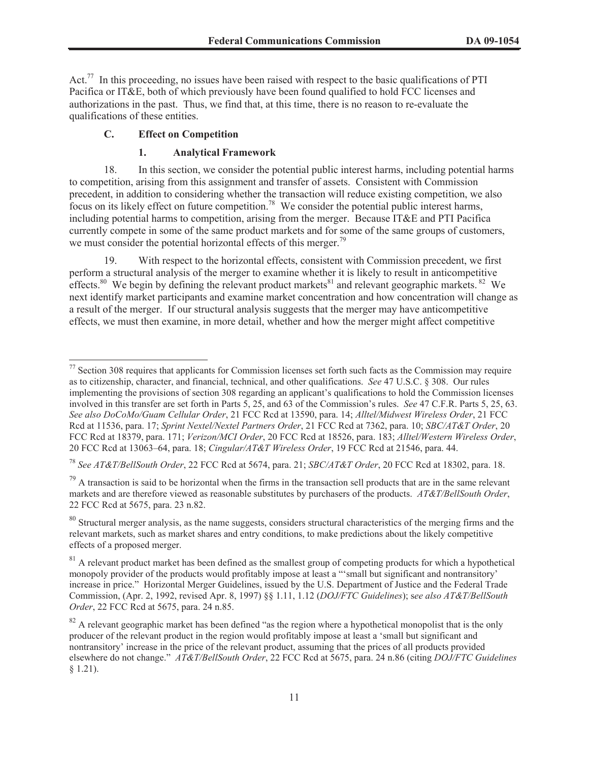Act.<sup>77</sup> In this proceeding, no issues have been raised with respect to the basic qualifications of PTI Pacifica or IT&E, both of which previously have been found qualified to hold FCC licenses and authorizations in the past. Thus, we find that, at this time, there is no reason to re-evaluate the qualifications of these entities.

# **C. Effect on Competition**

### **1. Analytical Framework**

18. In this section, we consider the potential public interest harms, including potential harms to competition, arising from this assignment and transfer of assets. Consistent with Commission precedent, in addition to considering whether the transaction will reduce existing competition, we also focus on its likely effect on future competition.<sup>78</sup> We consider the potential public interest harms, including potential harms to competition, arising from the merger. Because IT&E and PTI Pacifica currently compete in some of the same product markets and for some of the same groups of customers, we must consider the potential horizontal effects of this merger.<sup>79</sup>

19. With respect to the horizontal effects, consistent with Commission precedent, we first perform a structural analysis of the merger to examine whether it is likely to result in anticompetitive effects.<sup>80</sup> We begin by defining the relevant product markets<sup>81</sup> and relevant geographic markets. <sup>82</sup> We next identify market participants and examine market concentration and how concentration will change as a result of the merger. If our structural analysis suggests that the merger may have anticompetitive effects, we must then examine, in more detail, whether and how the merger might affect competitive

 $77$  Section 308 requires that applicants for Commission licenses set forth such facts as the Commission may require as to citizenship, character, and financial, technical, and other qualifications. *See* 47 U.S.C. § 308. Our rules implementing the provisions of section 308 regarding an applicant's qualifications to hold the Commission licenses involved in this transfer are set forth in Parts 5, 25, and 63 of the Commission's rules. *See* 47 C.F.R. Parts 5, 25, 63. *See also DoCoMo/Guam Cellular Order*, 21 FCC Rcd at 13590, para. 14; *Alltel/Midwest Wireless Order*, 21 FCC Rcd at 11536, para. 17; *Sprint Nextel/Nextel Partners Order*, 21 FCC Rcd at 7362, para. 10; *SBC/AT&T Order*, 20 FCC Rcd at 18379, para. 171; *Verizon/MCI Order*, 20 FCC Rcd at 18526, para. 183; *Alltel/Western Wireless Order*, 20 FCC Rcd at 13063–64, para. 18; *Cingular/AT&T Wireless Order*, 19 FCC Rcd at 21546, para. 44.

<sup>78</sup> *See AT&T/BellSouth Order*, 22 FCC Rcd at 5674, para. 21; *SBC/AT&T Order*, 20 FCC Rcd at 18302, para. 18.

 $79$  A transaction is said to be horizontal when the firms in the transaction sell products that are in the same relevant markets and are therefore viewed as reasonable substitutes by purchasers of the products. *AT&T/BellSouth Order*, 22 FCC Rcd at 5675, para. 23 n.82.

 $80$  Structural merger analysis, as the name suggests, considers structural characteristics of the merging firms and the relevant markets, such as market shares and entry conditions, to make predictions about the likely competitive effects of a proposed merger.

 $81$  A relevant product market has been defined as the smallest group of competing products for which a hypothetical monopoly provider of the products would profitably impose at least a "'small but significant and nontransitory' increase in price." Horizontal Merger Guidelines, issued by the U.S. Department of Justice and the Federal Trade Commission, (Apr. 2, 1992, revised Apr. 8, 1997) §§ 1.11, 1.12 (*DOJ/FTC Guidelines*); s*ee also AT&T/BellSouth Order*, 22 FCC Rcd at 5675, para. 24 n.85.

 $82$  A relevant geographic market has been defined "as the region where a hypothetical monopolist that is the only producer of the relevant product in the region would profitably impose at least a 'small but significant and nontransitory' increase in the price of the relevant product, assuming that the prices of all products provided elsewhere do not change." *AT&T/BellSouth Order*, 22 FCC Rcd at 5675, para. 24 n.86 (citing *DOJ/FTC Guidelines*   $§ 1.21$ ).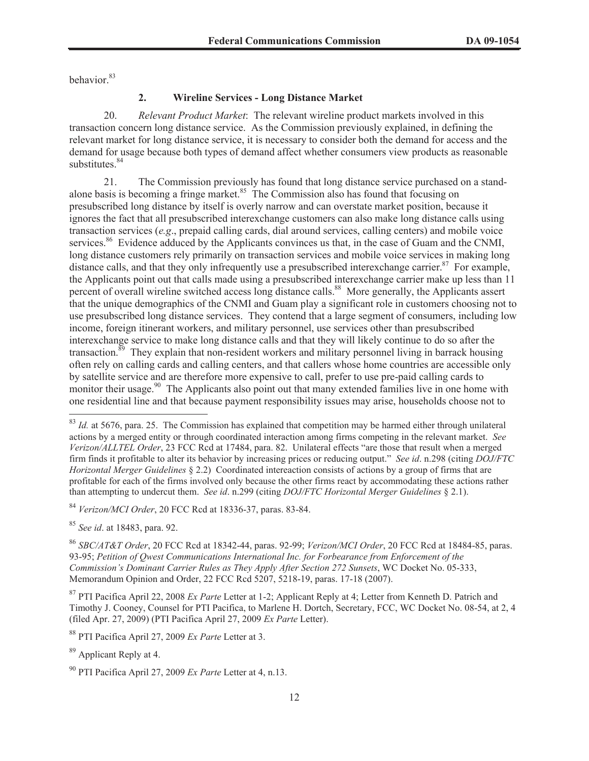behavior.<sup>83</sup>

## **2. Wireline Services - Long Distance Market**

20. *Relevant Product Market*: The relevant wireline product markets involved in this transaction concern long distance service. As the Commission previously explained, in defining the relevant market for long distance service, it is necessary to consider both the demand for access and the demand for usage because both types of demand affect whether consumers view products as reasonable substitutes.<sup>84</sup>

21. The Commission previously has found that long distance service purchased on a standalone basis is becoming a fringe market. $85$  The Commission also has found that focusing on presubscribed long distance by itself is overly narrow and can overstate market position, because it ignores the fact that all presubscribed interexchange customers can also make long distance calls using transaction services (*e.g*., prepaid calling cards, dial around services, calling centers) and mobile voice services.<sup>86</sup> Evidence adduced by the Applicants convinces us that, in the case of Guam and the CNMI, long distance customers rely primarily on transaction services and mobile voice services in making long distance calls, and that they only infrequently use a presubscribed interexchange carrier. $87$  For example, the Applicants point out that calls made using a presubscribed interexchange carrier make up less than 11 percent of overall wireline switched access long distance calls.<sup>88</sup> More generally, the Applicants assert that the unique demographics of the CNMI and Guam play a significant role in customers choosing not to use presubscribed long distance services. They contend that a large segment of consumers, including low income, foreign itinerant workers, and military personnel, use services other than presubscribed interexchange service to make long distance calls and that they will likely continue to do so after the transaction.<sup>89</sup> They explain that non-resident workers and military personnel living in barrack housing often rely on calling cards and calling centers, and that callers whose home countries are accessible only by satellite service and are therefore more expensive to call, prefer to use pre-paid calling cards to monitor their usage.<sup>90</sup> The Applicants also point out that many extended families live in one home with one residential line and that because payment responsibility issues may arise, households choose not to

<sup>84</sup> *Verizon/MCI Order*, 20 FCC Rcd at 18336-37, paras. 83-84.

<sup>85</sup> *See id*. at 18483, para. 92.

<sup>86</sup> *SBC/AT&T Order*, 20 FCC Rcd at 18342-44, paras. 92-99; *Verizon/MCI Order*, 20 FCC Rcd at 18484-85, paras. 93-95; *Petition of Qwest Communications International Inc. for Forbearance from Enforcement of the Commission's Dominant Carrier Rules as They Apply After Section 272 Sunsets*, WC Docket No. 05-333, Memorandum Opinion and Order, 22 FCC Rcd 5207, 5218-19, paras. 17-18 (2007).

<sup>87</sup> PTI Pacifica April 22, 2008 *Ex Parte* Letter at 1-2; Applicant Reply at 4; Letter from Kenneth D. Patrich and Timothy J. Cooney, Counsel for PTI Pacifica, to Marlene H. Dortch, Secretary, FCC, WC Docket No. 08-54, at 2, 4 (filed Apr. 27, 2009) (PTI Pacifica April 27, 2009 *Ex Parte* Letter).

<sup>88</sup> PTI Pacifica April 27, 2009 *Ex Parte* Letter at 3.

<sup>89</sup> Applicant Reply at 4.

 $83$  *Id.* at 5676, para. 25. The Commission has explained that competition may be harmed either through unilateral actions by a merged entity or through coordinated interaction among firms competing in the relevant market. *See Verizon/ALLTEL Order*, 23 FCC Rcd at 17484, para. 82. Unilateral effects "are those that result when a merged firm finds it profitable to alter its behavior by increasing prices or reducing output." *See id*. n.298 (citing *DOJ/FTC Horizontal Merger Guidelines* § 2.2) Coordinated intereaction consists of actions by a group of firms that are profitable for each of the firms involved only because the other firms react by accommodating these actions rather than attempting to undercut them. *See id*. n.299 (citing *DOJ/FTC Horizontal Merger Guidelines* § 2.1).

<sup>90</sup> PTI Pacifica April 27, 2009 *Ex Parte* Letter at 4, n.13.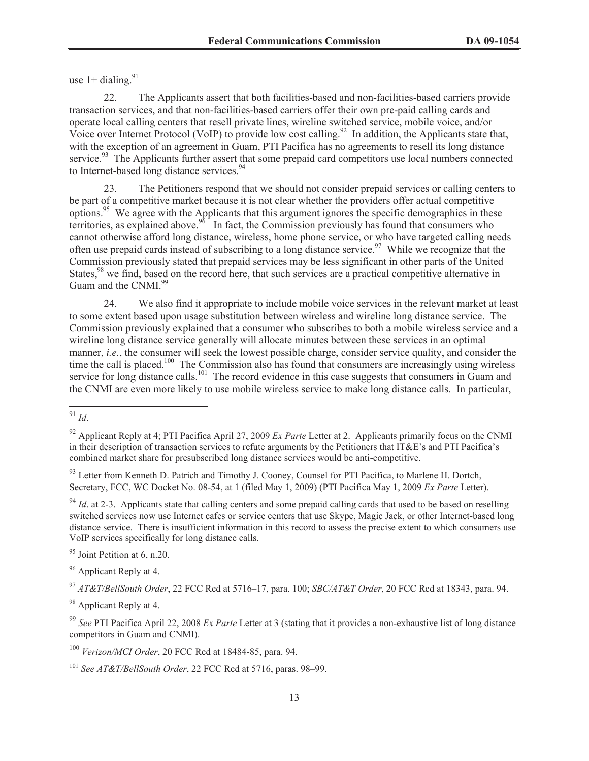use  $1+$  dialing.<sup>91</sup>

22. The Applicants assert that both facilities-based and non-facilities-based carriers provide transaction services, and that non-facilities-based carriers offer their own pre-paid calling cards and operate local calling centers that resell private lines, wireline switched service, mobile voice, and/or Voice over Internet Protocol (VoIP) to provide low cost calling.<sup>92</sup> In addition, the Applicants state that, with the exception of an agreement in Guam, PTI Pacifica has no agreements to resell its long distance service.<sup>93</sup> The Applicants further assert that some prepaid card competitors use local numbers connected to Internet-based long distance services.<sup>94</sup>

23. The Petitioners respond that we should not consider prepaid services or calling centers to be part of a competitive market because it is not clear whether the providers offer actual competitive options.<sup>95</sup> We agree with the Applicants that this argument ignores the specific demographics in these territories, as explained above.<sup>96</sup> In fact, the Commission previously has found that consumers who cannot otherwise afford long distance, wireless, home phone service, or who have targeted calling needs often use prepaid cards instead of subscribing to a long distance service.<sup>97</sup> While we recognize that the Commission previously stated that prepaid services may be less significant in other parts of the United States,<sup>98</sup> we find, based on the record here, that such services are a practical competitive alternative in Guam and the CNMI.<sup>99</sup>

24. We also find it appropriate to include mobile voice services in the relevant market at least to some extent based upon usage substitution between wireless and wireline long distance service. The Commission previously explained that a consumer who subscribes to both a mobile wireless service and a wireline long distance service generally will allocate minutes between these services in an optimal manner, *i.e.*, the consumer will seek the lowest possible charge, consider service quality, and consider the time the call is placed.<sup>100</sup> The Commission also has found that consumers are increasingly using wireless service for long distance calls.<sup>101</sup> The record evidence in this case suggests that consumers in Guam and the CNMI are even more likely to use mobile wireless service to make long distance calls. In particular,

<sup>95</sup> Joint Petition at 6, n.20.

<sup>96</sup> Applicant Reply at 4.

<sup>98</sup> Applicant Reply at 4.

<sup>99</sup> *See* PTI Pacifica April 22, 2008 *Ex Parte* Letter at 3 (stating that it provides a non-exhaustive list of long distance competitors in Guam and CNMI).

<sup>100</sup> *Verizon/MCI Order*, 20 FCC Rcd at 18484-85, para. 94.

<sup>91</sup> *Id*.

<sup>92</sup> Applicant Reply at 4; PTI Pacifica April 27, 2009 *Ex Parte* Letter at 2. Applicants primarily focus on the CNMI in their description of transaction services to refute arguments by the Petitioners that IT&E's and PTI Pacifica's combined market share for presubscribed long distance services would be anti-competitive.

<sup>&</sup>lt;sup>93</sup> Letter from Kenneth D. Patrich and Timothy J. Cooney, Counsel for PTI Pacifica, to Marlene H. Dortch, Secretary, FCC, WC Docket No. 08-54, at 1 (filed May 1, 2009) (PTI Pacifica May 1, 2009 *Ex Parte* Letter).

 $94$  *Id.* at 2-3. Applicants state that calling centers and some prepaid calling cards that used to be based on reselling switched services now use Internet cafes or service centers that use Skype, Magic Jack, or other Internet-based long distance service. There is insufficient information in this record to assess the precise extent to which consumers use VoIP services specifically for long distance calls.

<sup>97</sup> *AT&T/BellSouth Order*, 22 FCC Rcd at 5716–17, para. 100; *SBC/AT&T Order*, 20 FCC Rcd at 18343, para. 94.

<sup>101</sup> *See AT&T/BellSouth Order*, 22 FCC Rcd at 5716, paras. 98–99.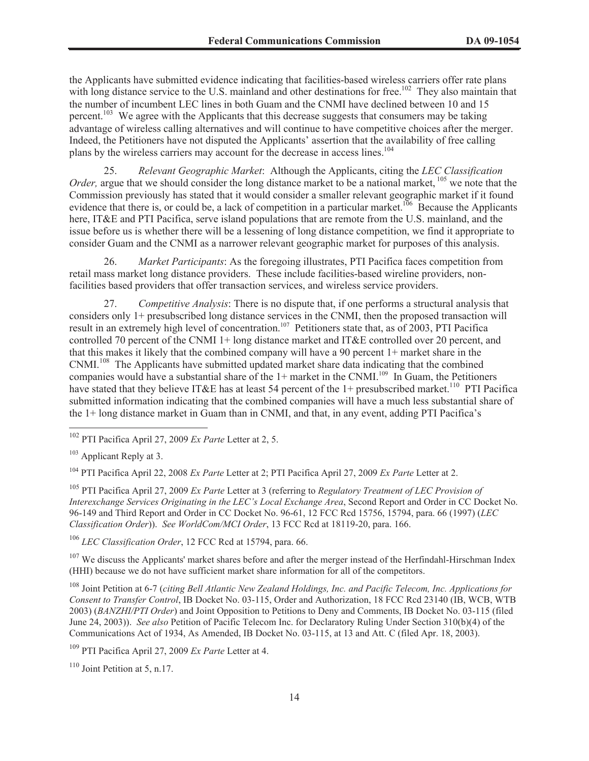the Applicants have submitted evidence indicating that facilities-based wireless carriers offer rate plans with long distance service to the U.S. mainland and other destinations for free.<sup>102</sup> They also maintain that the number of incumbent LEC lines in both Guam and the CNMI have declined between 10 and 15 percent.<sup>103</sup> We agree with the Applicants that this decrease suggests that consumers may be taking advantage of wireless calling alternatives and will continue to have competitive choices after the merger. Indeed, the Petitioners have not disputed the Applicants' assertion that the availability of free calling plans by the wireless carriers may account for the decrease in access lines.<sup>104</sup>

25. *Relevant Geographic Market*: Although the Applicants, citing the *LEC Classification Order*, argue that we should consider the long distance market to be a national market, <sup>105</sup> we note that the Commission previously has stated that it would consider a smaller relevant geographic market if it found evidence that there is, or could be, a lack of competition in a particular market.<sup>106</sup> Because the Applicants here, IT&E and PTI Pacifica, serve island populations that are remote from the U.S. mainland, and the issue before us is whether there will be a lessening of long distance competition, we find it appropriate to consider Guam and the CNMI as a narrower relevant geographic market for purposes of this analysis.

26. *Market Participants*: As the foregoing illustrates, PTI Pacifica faces competition from retail mass market long distance providers. These include facilities-based wireline providers, nonfacilities based providers that offer transaction services, and wireless service providers.

27. *Competitive Analysis*: There is no dispute that, if one performs a structural analysis that considers only 1+ presubscribed long distance services in the CNMI, then the proposed transaction will result in an extremely high level of concentration.<sup>107</sup> Petitioners state that, as of 2003, PTI Pacifica controlled 70 percent of the CNMI 1+ long distance market and IT&E controlled over 20 percent, and that this makes it likely that the combined company will have a 90 percent 1+ market share in the CNMI.<sup>108</sup> The Applicants have submitted updated market share data indicating that the combined companies would have a substantial share of the  $1+$  market in the CNMI.<sup>109</sup> In Guam, the Petitioners have stated that they believe IT&E has at least 54 percent of the 1+ presubscribed market.<sup>110</sup> PTI Pacifica submitted information indicating that the combined companies will have a much less substantial share of the 1+ long distance market in Guam than in CNMI, and that, in any event, adding PTI Pacifica's

<sup>104</sup> PTI Pacifica April 22, 2008 *Ex Parte* Letter at 2; PTI Pacifica April 27, 2009 *Ex Parte* Letter at 2.

<sup>105</sup> PTI Pacifica April 27, 2009 *Ex Parte* Letter at 3 (referring to *Regulatory Treatment of LEC Provision of Interexchange Services Originating in the LEC's Local Exchange Area*, Second Report and Order in CC Docket No. 96-149 and Third Report and Order in CC Docket No. 96-61, 12 FCC Rcd 15756, 15794, para. 66 (1997) (*LEC Classification Order*)). *See WorldCom/MCI Order*, 13 FCC Rcd at 18119-20, para. 166.

<sup>106</sup> *LEC Classification Order*, 12 FCC Rcd at 15794, para. 66.

<sup>107</sup> We discuss the Applicants' market shares before and after the merger instead of the Herfindahl-Hirschman Index (HHI) because we do not have sufficient market share information for all of the competitors.

<sup>108</sup> Joint Petition at 6-7 (*citing Bell Atlantic New Zealand Holdings, Inc. and Pacific Telecom, Inc. Applications for Consent to Transfer Control*, IB Docket No. 03-115, Order and Authorization, 18 FCC Rcd 23140 (IB, WCB, WTB 2003) (*BANZHI/PTI Order*) and Joint Opposition to Petitions to Deny and Comments, IB Docket No. 03-115 (filed June 24, 2003)). *See also* Petition of Pacific Telecom Inc. for Declaratory Ruling Under Section 310(b)(4) of the Communications Act of 1934, As Amended, IB Docket No. 03-115, at 13 and Att. C (filed Apr. 18, 2003).

<sup>109</sup> PTI Pacifica April 27, 2009 *Ex Parte* Letter at 4.

 $110$  Joint Petition at 5, n.17.

<sup>102</sup> PTI Pacifica April 27, 2009 *Ex Parte* Letter at 2, 5.

<sup>&</sup>lt;sup>103</sup> Applicant Reply at 3.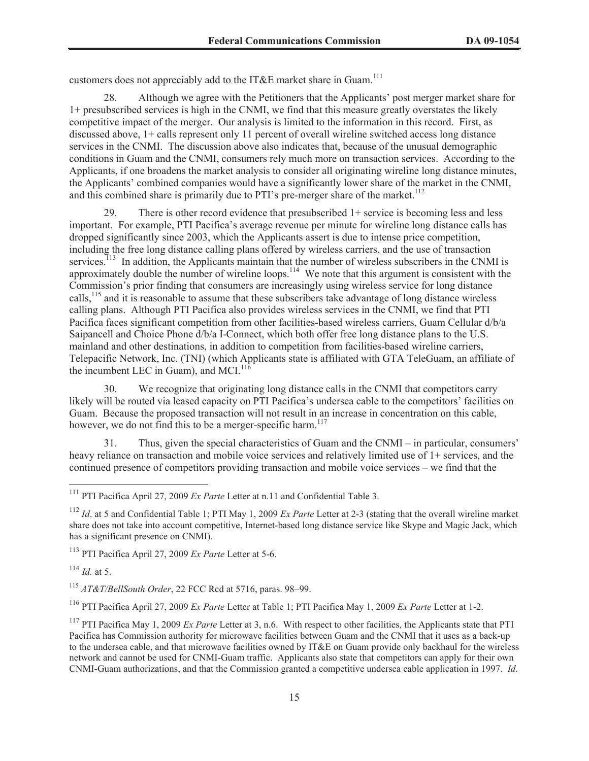customers does not appreciably add to the IT&E market share in Guam.<sup>111</sup>

28. Although we agree with the Petitioners that the Applicants' post merger market share for 1+ presubscribed services is high in the CNMI, we find that this measure greatly overstates the likely competitive impact of the merger. Our analysis is limited to the information in this record. First, as discussed above, 1+ calls represent only 11 percent of overall wireline switched access long distance services in the CNMI. The discussion above also indicates that, because of the unusual demographic conditions in Guam and the CNMI, consumers rely much more on transaction services. According to the Applicants, if one broadens the market analysis to consider all originating wireline long distance minutes, the Applicants' combined companies would have a significantly lower share of the market in the CNMI, and this combined share is primarily due to PTI's pre-merger share of the market.<sup>112</sup>

29. There is other record evidence that presubscribed 1+ service is becoming less and less important. For example, PTI Pacifica's average revenue per minute for wireline long distance calls has dropped significantly since 2003, which the Applicants assert is due to intense price competition, including the free long distance calling plans offered by wireless carriers, and the use of transaction services.<sup>113</sup> In addition, the Applicants maintain that the number of wireless subscribers in the CNMI is approximately double the number of wireline loops.<sup>114</sup> We note that this argument is consistent with the Commission's prior finding that consumers are increasingly using wireless service for long distance calls,<sup>115</sup> and it is reasonable to assume that these subscribers take advantage of long distance wireless calling plans. Although PTI Pacifica also provides wireless services in the CNMI, we find that PTI Pacifica faces significant competition from other facilities-based wireless carriers, Guam Cellular d/b/a Saipancell and Choice Phone d/b/a I-Connect, which both offer free long distance plans to the U.S. mainland and other destinations, in addition to competition from facilities-based wireline carriers, Telepacific Network, Inc. (TNI) (which Applicants state is affiliated with GTA TeleGuam, an affiliate of the incumbent LEC in Guam), and MCI.<sup>116</sup>

30. We recognize that originating long distance calls in the CNMI that competitors carry likely will be routed via leased capacity on PTI Pacifica's undersea cable to the competitors' facilities on Guam. Because the proposed transaction will not result in an increase in concentration on this cable, however, we do not find this to be a merger-specific harm.<sup>117</sup>

31. Thus, given the special characteristics of Guam and the CNMI – in particular, consumers' heavy reliance on transaction and mobile voice services and relatively limited use of  $1+$  services, and the continued presence of competitors providing transaction and mobile voice services – we find that the

<sup>113</sup> PTI Pacifica April 27, 2009 *Ex Parte* Letter at 5-6.

<sup>114</sup> *Id.* at 5.

<sup>115</sup> *AT&T/BellSouth Order*, 22 FCC Rcd at 5716, paras. 98–99.

<sup>116</sup> PTI Pacifica April 27, 2009 *Ex Parte* Letter at Table 1; PTI Pacifica May 1, 2009 *Ex Parte* Letter at 1-2.

<sup>111</sup> PTI Pacifica April 27, 2009 *Ex Parte* Letter at n.11 and Confidential Table 3.

<sup>112</sup> *Id*. at 5 and Confidential Table 1; PTI May 1, 2009 *Ex Parte* Letter at 2-3 (stating that the overall wireline market share does not take into account competitive, Internet-based long distance service like Skype and Magic Jack, which has a significant presence on CNMI).

<sup>117</sup> PTI Pacifica May 1, 2009 *Ex Parte* Letter at 3, n.6. With respect to other facilities, the Applicants state that PTI Pacifica has Commission authority for microwave facilities between Guam and the CNMI that it uses as a back-up to the undersea cable, and that microwave facilities owned by IT&E on Guam provide only backhaul for the wireless network and cannot be used for CNMI-Guam traffic. Applicants also state that competitors can apply for their own CNMI-Guam authorizations, and that the Commission granted a competitive undersea cable application in 1997. *Id*.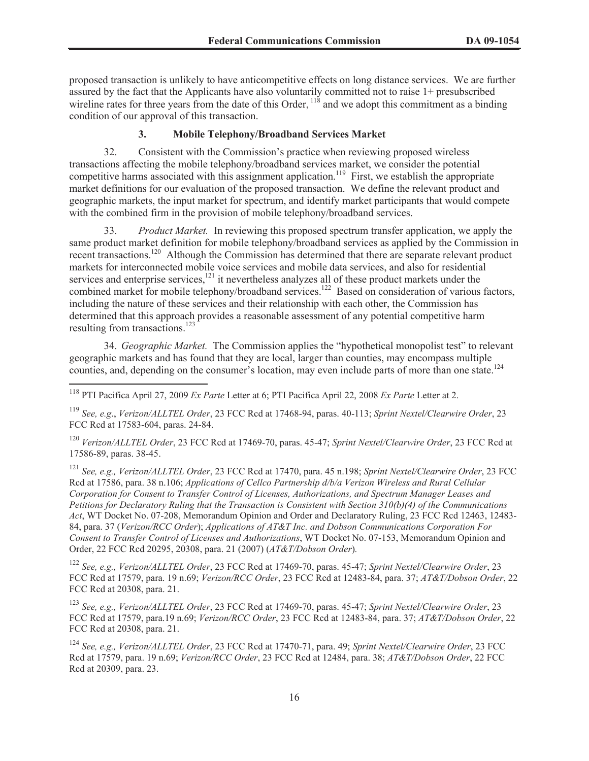proposed transaction is unlikely to have anticompetitive effects on long distance services. We are further assured by the fact that the Applicants have also voluntarily committed not to raise 1+ presubscribed wireline rates for three years from the date of this Order,  $118$  and we adopt this commitment as a binding condition of our approval of this transaction.

### **3. Mobile Telephony/Broadband Services Market**

32. Consistent with the Commission's practice when reviewing proposed wireless transactions affecting the mobile telephony/broadband services market, we consider the potential competitive harms associated with this assignment application.<sup>119</sup> First, we establish the appropriate market definitions for our evaluation of the proposed transaction. We define the relevant product and geographic markets, the input market for spectrum, and identify market participants that would compete with the combined firm in the provision of mobile telephony/broadband services.

33. *Product Market.* In reviewing this proposed spectrum transfer application, we apply the same product market definition for mobile telephony/broadband services as applied by the Commission in recent transactions.<sup>120</sup> Although the Commission has determined that there are separate relevant product markets for interconnected mobile voice services and mobile data services, and also for residential services and enterprise services,<sup>121</sup> it nevertheless analyzes all of these product markets under the combined market for mobile telephony/broadband services.<sup>122</sup> Based on consideration of various factors, including the nature of these services and their relationship with each other, the Commission has determined that this approach provides a reasonable assessment of any potential competitive harm resulting from transactions.<sup>123</sup>

34. *Geographic Market.* The Commission applies the "hypothetical monopolist test" to relevant geographic markets and has found that they are local, larger than counties, may encompass multiple counties, and, depending on the consumer's location, may even include parts of more than one state.<sup>124</sup>

<sup>120</sup> *Verizon/ALLTEL Order*, 23 FCC Rcd at 17469-70, paras. 45-47; *Sprint Nextel/Clearwire Order*, 23 FCC Rcd at 17586-89, paras. 38-45.

<sup>121</sup> *See, e.g., Verizon/ALLTEL Order*, 23 FCC Rcd at 17470, para. 45 n.198; *Sprint Nextel/Clearwire Order*, 23 FCC Rcd at 17586, para. 38 n.106; *Applications of Cellco Partnership d/b/a Verizon Wireless and Rural Cellular Corporation for Consent to Transfer Control of Licenses, Authorizations, and Spectrum Manager Leases and Petitions for Declaratory Ruling that the Transaction is Consistent with Section 310(b)(4) of the Communications Act*, WT Docket No. 07-208, Memorandum Opinion and Order and Declaratory Ruling, 23 FCC Rcd 12463, 12483- 84, para. 37 (*Verizon/RCC Order*); *Applications of AT&T Inc. and Dobson Communications Corporation For Consent to Transfer Control of Licenses and Authorizations*, WT Docket No. 07-153, Memorandum Opinion and Order, 22 FCC Rcd 20295, 20308, para. 21 (2007) (*AT&T/Dobson Order*)*.*

<sup>122</sup> *See, e.g., Verizon/ALLTEL Order*, 23 FCC Rcd at 17469-70, paras. 45-47; *Sprint Nextel/Clearwire Order*, 23 FCC Rcd at 17579, para. 19 n.69; *Verizon/RCC Order*, 23 FCC Rcd at 12483-84, para. 37; *AT&T/Dobson Order*, 22 FCC Rcd at 20308, para. 21.

<sup>123</sup> *See, e.g., Verizon/ALLTEL Order*, 23 FCC Rcd at 17469-70, paras. 45-47; *Sprint Nextel/Clearwire Order*, 23 FCC Rcd at 17579, para.19 n.69; *Verizon/RCC Order*, 23 FCC Rcd at 12483-84, para. 37; *AT&T/Dobson Order*, 22 FCC Rcd at 20308, para. 21.

<sup>124</sup> *See, e.g., Verizon/ALLTEL Order*, 23 FCC Rcd at 17470-71, para. 49; *Sprint Nextel/Clearwire Order*, 23 FCC Rcd at 17579, para. 19 n.69; *Verizon/RCC Order*, 23 FCC Rcd at 12484, para. 38; *AT&T/Dobson Order*, 22 FCC Rcd at 20309, para. 23.

<sup>118</sup> PTI Pacifica April 27, 2009 *Ex Parte* Letter at 6; PTI Pacifica April 22, 2008 *Ex Parte* Letter at 2.

<sup>119</sup> *See, e.g*., *Verizon/ALLTEL Order*, 23 FCC Rcd at 17468-94, paras. 40-113; *Sprint Nextel/Clearwire Order*, 23 FCC Rcd at 17583-604, paras. 24-84.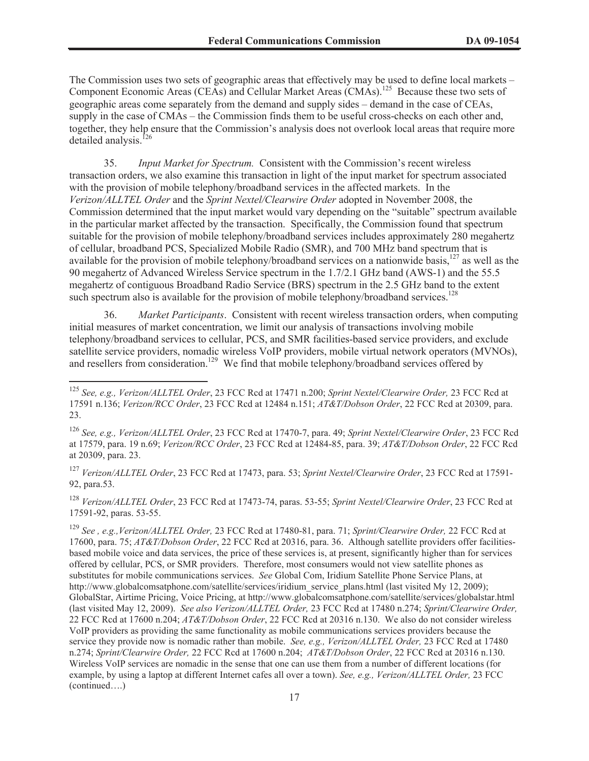The Commission uses two sets of geographic areas that effectively may be used to define local markets – Component Economic Areas (CEAs) and Cellular Market Areas (CMAs).<sup>125</sup> Because these two sets of geographic areas come separately from the demand and supply sides – demand in the case of CEAs, supply in the case of CMAs – the Commission finds them to be useful cross-checks on each other and, together, they help ensure that the Commission's analysis does not overlook local areas that require more detailed analysis.<sup>126</sup>

35. *Input Market for Spectrum.* Consistent with the Commission's recent wireless transaction orders, we also examine this transaction in light of the input market for spectrum associated with the provision of mobile telephony/broadband services in the affected markets. In the *Verizon/ALLTEL Order* and the *Sprint Nextel/Clearwire Order* adopted in November 2008, the Commission determined that the input market would vary depending on the "suitable" spectrum available in the particular market affected by the transaction. Specifically, the Commission found that spectrum suitable for the provision of mobile telephony/broadband services includes approximately 280 megahertz of cellular, broadband PCS, Specialized Mobile Radio (SMR), and 700 MHz band spectrum that is available for the provision of mobile telephony/broadband services on a nationwide basis,<sup>127</sup> as well as the 90 megahertz of Advanced Wireless Service spectrum in the 1.7/2.1 GHz band (AWS-1) and the 55.5 megahertz of contiguous Broadband Radio Service (BRS) spectrum in the 2.5 GHz band to the extent such spectrum also is available for the provision of mobile telephony/broadband services.<sup>128</sup>

36. *Market Participants*. Consistent with recent wireless transaction orders, when computing initial measures of market concentration, we limit our analysis of transactions involving mobile telephony/broadband services to cellular, PCS, and SMR facilities-based service providers, and exclude satellite service providers, nomadic wireless VoIP providers, mobile virtual network operators (MVNOs), and resellers from consideration.<sup>129</sup> We find that mobile telephony/broadband services offered by

<sup>127</sup> *Verizon/ALLTEL Order*, 23 FCC Rcd at 17473, para. 53; *Sprint Nextel/Clearwire Order*, 23 FCC Rcd at 17591- 92, para.53.

<sup>128</sup> *Verizon/ALLTEL Order*, 23 FCC Rcd at 17473-74, paras. 53-55; *Sprint Nextel/Clearwire Order*, 23 FCC Rcd at 17591-92, paras. 53-55.

<sup>125</sup> *See, e.g., Verizon/ALLTEL Order*, 23 FCC Rcd at 17471 n.200; *Sprint Nextel/Clearwire Order,* 23 FCC Rcd at 17591 n.136; *Verizon/RCC Order*, 23 FCC Rcd at 12484 n.151; *AT&T/Dobson Order*, 22 FCC Rcd at 20309, para. 23.

<sup>126</sup> *See, e.g., Verizon/ALLTEL Order*, 23 FCC Rcd at 17470-7, para. 49; *Sprint Nextel/Clearwire Order*, 23 FCC Rcd at 17579, para. 19 n.69; *Verizon/RCC Order*, 23 FCC Rcd at 12484-85, para. 39; *AT&T/Dobson Order*, 22 FCC Rcd at 20309, para. 23.

<sup>129</sup> *See , e.g.,Verizon/ALLTEL Order,* 23 FCC Rcd at 17480-81, para. 71; *Sprint/Clearwire Order,* 22 FCC Rcd at 17600, para. 75; *AT&T/Dobson Order*, 22 FCC Rcd at 20316, para. 36. Although satellite providers offer facilitiesbased mobile voice and data services, the price of these services is, at present, significantly higher than for services offered by cellular, PCS, or SMR providers. Therefore, most consumers would not view satellite phones as substitutes for mobile communications services. *See* Global Com, Iridium Satellite Phone Service Plans, at http://www.globalcomsatphone.com/satellite/services/iridium\_service\_plans.html (last visited My 12, 2009); GlobalStar, Airtime Pricing, Voice Pricing, at http://www.globalcomsatphone.com/satellite/services/globalstar.html (last visited May 12, 2009). *See also Verizon/ALLTEL Order,* 23 FCC Rcd at 17480 n.274; *Sprint/Clearwire Order,*  22 FCC Rcd at 17600 n.204; *AT&T/Dobson Order*, 22 FCC Rcd at 20316 n.130. We also do not consider wireless VoIP providers as providing the same functionality as mobile communications services providers because the service they provide now is nomadic rather than mobile. *See, e.g., Verizon/ALLTEL Order,* 23 FCC Rcd at 17480 n.274; *Sprint/Clearwire Order,* 22 FCC Rcd at 17600 n.204; *AT&T/Dobson Order*, 22 FCC Rcd at 20316 n.130. Wireless VoIP services are nomadic in the sense that one can use them from a number of different locations (for example, by using a laptop at different Internet cafes all over a town). *See, e.g., Verizon/ALLTEL Order,* 23 FCC (continued….)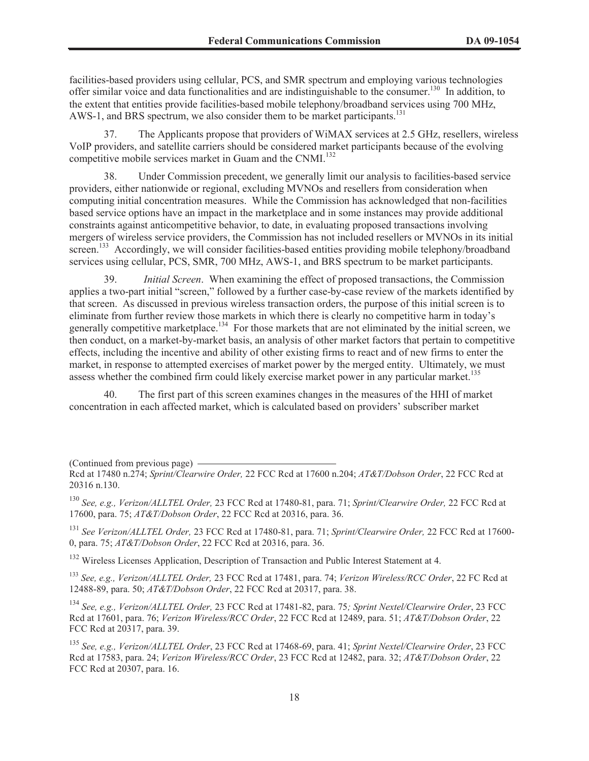facilities-based providers using cellular, PCS, and SMR spectrum and employing various technologies offer similar voice and data functionalities and are indistinguishable to the consumer.<sup>130</sup> In addition, to the extent that entities provide facilities-based mobile telephony/broadband services using 700 MHz, AWS-1, and BRS spectrum, we also consider them to be market participants.<sup>131</sup>

37. The Applicants propose that providers of WiMAX services at 2.5 GHz, resellers, wireless VoIP providers, and satellite carriers should be considered market participants because of the evolving competitive mobile services market in Guam and the CNMI.<sup>132</sup>

38. Under Commission precedent, we generally limit our analysis to facilities-based service providers, either nationwide or regional, excluding MVNOs and resellers from consideration when computing initial concentration measures. While the Commission has acknowledged that non-facilities based service options have an impact in the marketplace and in some instances may provide additional constraints against anticompetitive behavior, to date, in evaluating proposed transactions involving mergers of wireless service providers, the Commission has not included resellers or MVNOs in its initial screen.<sup>133</sup> Accordingly, we will consider facilities-based entities providing mobile telephony/broadband services using cellular, PCS, SMR, 700 MHz, AWS-1, and BRS spectrum to be market participants.

Initial Screen. When examining the effect of proposed transactions, the Commission applies a two-part initial "screen," followed by a further case-by-case review of the markets identified by that screen. As discussed in previous wireless transaction orders, the purpose of this initial screen is to eliminate from further review those markets in which there is clearly no competitive harm in today's generally competitive marketplace.<sup>134</sup> For those markets that are not eliminated by the initial screen, we then conduct, on a market-by-market basis, an analysis of other market factors that pertain to competitive effects, including the incentive and ability of other existing firms to react and of new firms to enter the market, in response to attempted exercises of market power by the merged entity. Ultimately, we must assess whether the combined firm could likely exercise market power in any particular market.<sup>135</sup>

40. The first part of this screen examines changes in the measures of the HHI of market concentration in each affected market, which is calculated based on providers' subscriber market

(Continued from previous page)

<sup>130</sup> *See, e.g., Verizon/ALLTEL Order,* 23 FCC Rcd at 17480-81, para. 71; *Sprint/Clearwire Order,* 22 FCC Rcd at 17600, para. 75; *AT&T/Dobson Order*, 22 FCC Rcd at 20316, para. 36.

<sup>131</sup> *See Verizon/ALLTEL Order,* 23 FCC Rcd at 17480-81, para. 71; *Sprint/Clearwire Order,* 22 FCC Rcd at 17600- 0, para. 75; *AT&T/Dobson Order*, 22 FCC Rcd at 20316, para. 36.

<sup>132</sup> Wireless Licenses Application, Description of Transaction and Public Interest Statement at 4.

<sup>133</sup> *See, e.g., Verizon/ALLTEL Order,* 23 FCC Rcd at 17481, para. 74; *Verizon Wireless/RCC Order*, 22 FC Rcd at 12488-89, para. 50; *AT&T/Dobson Order*, 22 FCC Rcd at 20317, para. 38.

<sup>134</sup> *See, e.g., Verizon/ALLTEL Order,* 23 FCC Rcd at 17481-82, para. 75*; Sprint Nextel/Clearwire Order*, 23 FCC Rcd at 17601, para. 76; *Verizon Wireless/RCC Order*, 22 FCC Rcd at 12489, para. 51; *AT&T/Dobson Order*, 22 FCC Rcd at 20317, para. 39.

<sup>135</sup> *See, e.g., Verizon/ALLTEL Order*, 23 FCC Rcd at 17468-69, para. 41; *Sprint Nextel/Clearwire Order*, 23 FCC Rcd at 17583, para. 24; *Verizon Wireless/RCC Order*, 23 FCC Rcd at 12482, para. 32; *AT&T/Dobson Order*, 22 FCC Rcd at 20307, para. 16.

Rcd at 17480 n.274; *Sprint/Clearwire Order,* 22 FCC Rcd at 17600 n.204; *AT&T/Dobson Order*, 22 FCC Rcd at 20316 n.130.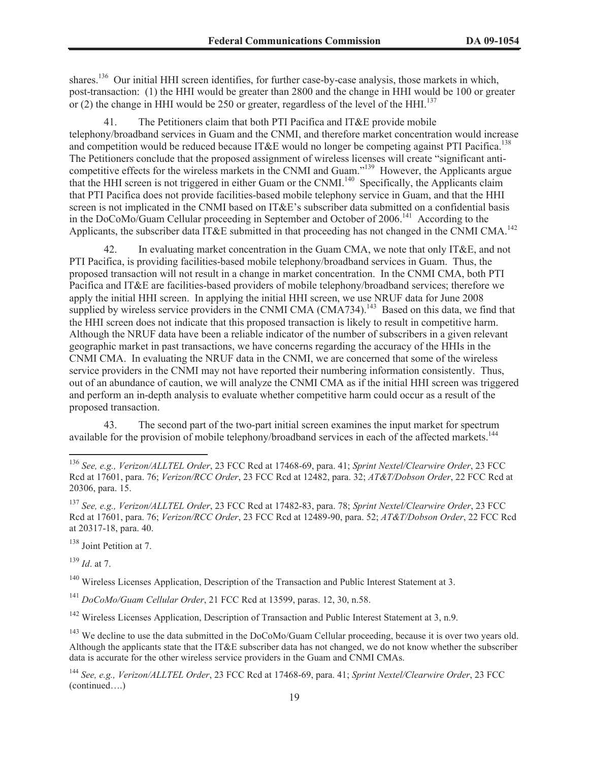shares.<sup>136</sup> Our initial HHI screen identifies, for further case-by-case analysis, those markets in which, post-transaction: (1) the HHI would be greater than 2800 and the change in HHI would be 100 or greater or (2) the change in HHI would be 250 or greater, regardless of the level of the HHI.<sup>137</sup>

41. The Petitioners claim that both PTI Pacifica and IT&E provide mobile telephony/broadband services in Guam and the CNMI, and therefore market concentration would increase and competition would be reduced because IT&E would no longer be competing against PTI Pacifica.<sup>138</sup> The Petitioners conclude that the proposed assignment of wireless licenses will create "significant anticompetitive effects for the wireless markets in the CNMI and Guam."<sup>139</sup> However, the Applicants argue that the HHI screen is not triggered in either Guam or the CNMI.<sup>140</sup> Specifically, the Applicants claim that PTI Pacifica does not provide facilities-based mobile telephony service in Guam, and that the HHI screen is not implicated in the CNMI based on IT&E's subscriber data submitted on a confidential basis in the DoCoMo/Guam Cellular proceeding in September and October of 2006.<sup>141</sup> According to the Applicants, the subscriber data IT&E submitted in that proceeding has not changed in the CNMI CMA.<sup>142</sup>

42. In evaluating market concentration in the Guam CMA, we note that only IT&E, and not PTI Pacifica, is providing facilities-based mobile telephony/broadband services in Guam. Thus, the proposed transaction will not result in a change in market concentration. In the CNMI CMA, both PTI Pacifica and IT&E are facilities-based providers of mobile telephony/broadband services; therefore we apply the initial HHI screen. In applying the initial HHI screen, we use NRUF data for June 2008 supplied by wireless service providers in the CNMI CMA (CMA734).<sup>143</sup> Based on this data, we find that the HHI screen does not indicate that this proposed transaction is likely to result in competitive harm. Although the NRUF data have been a reliable indicator of the number of subscribers in a given relevant geographic market in past transactions, we have concerns regarding the accuracy of the HHIs in the CNMI CMA. In evaluating the NRUF data in the CNMI, we are concerned that some of the wireless service providers in the CNMI may not have reported their numbering information consistently. Thus, out of an abundance of caution, we will analyze the CNMI CMA as if the initial HHI screen was triggered and perform an in-depth analysis to evaluate whether competitive harm could occur as a result of the proposed transaction.

43. The second part of the two-part initial screen examines the input market for spectrum available for the provision of mobile telephony/broadband services in each of the affected markets.<sup>144</sup>

<sup>138</sup> Joint Petition at 7.

<sup>139</sup> *Id*. at 7.

<sup>140</sup> Wireless Licenses Application, Description of the Transaction and Public Interest Statement at 3.

<sup>141</sup> *DoCoMo/Guam Cellular Order*, 21 FCC Rcd at 13599, paras. 12, 30, n.58.

<sup>142</sup> Wireless Licenses Application, Description of Transaction and Public Interest Statement at 3, n.9.

 $143$  We decline to use the data submitted in the DoCoMo/Guam Cellular proceeding, because it is over two years old. Although the applicants state that the IT&E subscriber data has not changed, we do not know whether the subscriber data is accurate for the other wireless service providers in the Guam and CNMI CMAs.

<sup>136</sup> *See, e.g., Verizon/ALLTEL Order*, 23 FCC Rcd at 17468-69, para. 41; *Sprint Nextel/Clearwire Order*, 23 FCC Rcd at 17601, para. 76; *Verizon/RCC Order*, 23 FCC Rcd at 12482, para. 32; *AT&T/Dobson Order*, 22 FCC Rcd at 20306, para. 15.

<sup>137</sup> *See, e.g., Verizon/ALLTEL Order*, 23 FCC Rcd at 17482-83, para. 78; *Sprint Nextel/Clearwire Order*, 23 FCC Rcd at 17601, para. 76; *Verizon/RCC Order*, 23 FCC Rcd at 12489-90, para. 52; *AT&T/Dobson Order*, 22 FCC Rcd at 20317-18, para. 40.

<sup>144</sup> *See, e.g., Verizon/ALLTEL Order*, 23 FCC Rcd at 17468-69, para. 41; *Sprint Nextel/Clearwire Order*, 23 FCC (continued….)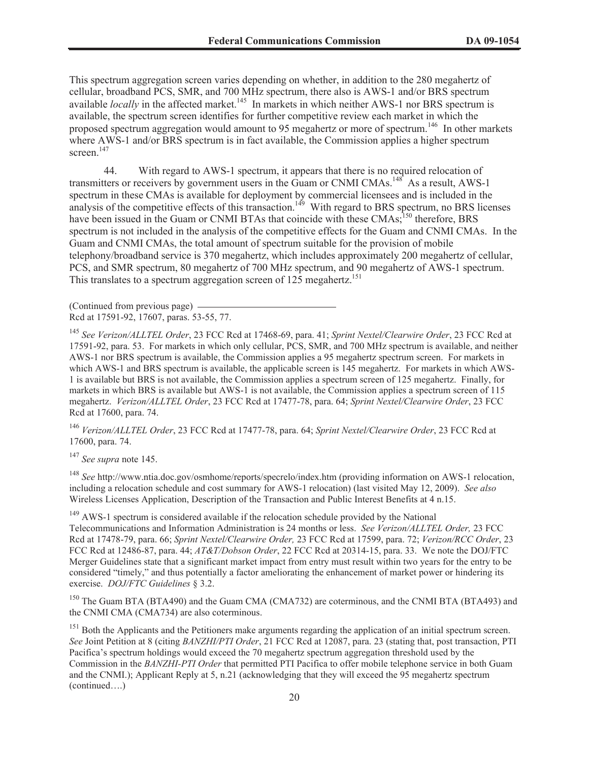This spectrum aggregation screen varies depending on whether, in addition to the 280 megahertz of cellular, broadband PCS, SMR, and 700 MHz spectrum, there also is AWS-1 and/or BRS spectrum available *locally* in the affected market.<sup>145</sup> In markets in which neither AWS-1 nor BRS spectrum is available, the spectrum screen identifies for further competitive review each market in which the proposed spectrum aggregation would amount to 95 megahertz or more of spectrum.<sup>146</sup> In other markets where AWS-1 and/or BRS spectrum is in fact available, the Commission applies a higher spectrum screen.<sup>147</sup>

44. With regard to AWS-1 spectrum, it appears that there is no required relocation of transmitters or receivers by government users in the Guam or CNMI CMAs.<sup>148</sup> As a result, AWS-1 spectrum in these CMAs is available for deployment by commercial licensees and is included in the analysis of the competitive effects of this transaction.<sup>149</sup> With regard to BRS spectrum, no BRS licenses have been issued in the Guam or CNMI BTAs that coincide with these CMAs;<sup>150</sup> therefore, BRS spectrum is not included in the analysis of the competitive effects for the Guam and CNMI CMAs. In the Guam and CNMI CMAs, the total amount of spectrum suitable for the provision of mobile telephony/broadband service is 370 megahertz, which includes approximately 200 megahertz of cellular, PCS, and SMR spectrum, 80 megahertz of 700 MHz spectrum, and 90 megahertz of AWS-1 spectrum. This translates to a spectrum aggregation screen of  $12\overline{5}$  megahertz.<sup>151</sup>

(Continued from previous page) Rcd at 17591-92, 17607, paras. 53-55, 77.

<sup>145</sup> *See Verizon/ALLTEL Order*, 23 FCC Rcd at 17468-69, para. 41; *Sprint Nextel/Clearwire Order*, 23 FCC Rcd at 17591-92, para. 53. For markets in which only cellular, PCS, SMR, and 700 MHz spectrum is available, and neither AWS-1 nor BRS spectrum is available, the Commission applies a 95 megahertz spectrum screen. For markets in which AWS-1 and BRS spectrum is available, the applicable screen is 145 megahertz. For markets in which AWS-1 is available but BRS is not available, the Commission applies a spectrum screen of 125 megahertz. Finally, for markets in which BRS is available but AWS-1 is not available, the Commission applies a spectrum screen of 115 megahertz. *Verizon/ALLTEL Order*, 23 FCC Rcd at 17477-78, para. 64; *Sprint Nextel/Clearwire Order*, 23 FCC Rcd at 17600, para. 74.

<sup>146</sup> *Verizon/ALLTEL Order*, 23 FCC Rcd at 17477-78, para. 64; *Sprint Nextel/Clearwire Order*, 23 FCC Rcd at 17600, para. 74.

<sup>147</sup> *See supra* note 145.

<sup>148</sup> *See* http://www.ntia.doc.gov/osmhome/reports/specrelo/index.htm (providing information on AWS-1 relocation, including a relocation schedule and cost summary for AWS-1 relocation) (last visited May 12, 2009). *See also* Wireless Licenses Application, Description of the Transaction and Public Interest Benefits at 4 n.15.

 $149$  AWS-1 spectrum is considered available if the relocation schedule provided by the National Telecommunications and Information Administration is 24 months or less. *See Verizon/ALLTEL Order,* 23 FCC Rcd at 17478-79, para. 66; *Sprint Nextel/Clearwire Order,* 23 FCC Rcd at 17599, para. 72; *Verizon/RCC Order*, 23 FCC Rcd at 12486-87, para. 44; *AT&T/Dobson Order*, 22 FCC Rcd at 20314-15, para. 33. We note the DOJ/FTC Merger Guidelines state that a significant market impact from entry must result within two years for the entry to be considered "timely," and thus potentially a factor ameliorating the enhancement of market power or hindering its exercise. *DOJ/FTC Guidelines* § 3.2.

<sup>150</sup> The Guam BTA (BTA490) and the Guam CMA (CMA732) are coterminous, and the CNMI BTA (BTA493) and the CNMI CMA (CMA734) are also coterminous.

<sup>151</sup> Both the Applicants and the Petitioners make arguments regarding the application of an initial spectrum screen. *See* Joint Petition at 8 (citing *BANZHI/PTI Order*, 21 FCC Rcd at 12087, para. 23 (stating that, post transaction, PTI Pacifica's spectrum holdings would exceed the 70 megahertz spectrum aggregation threshold used by the Commission in the *BANZHI-PTI Order* that permitted PTI Pacifica to offer mobile telephone service in both Guam and the CNMI.); Applicant Reply at 5, n.21 (acknowledging that they will exceed the 95 megahertz spectrum (continued….)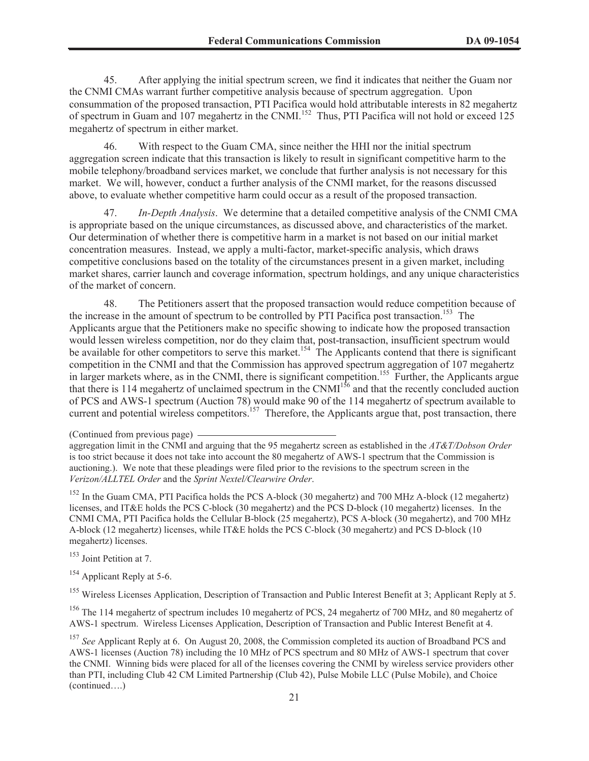45. After applying the initial spectrum screen, we find it indicates that neither the Guam nor the CNMI CMAs warrant further competitive analysis because of spectrum aggregation. Upon consummation of the proposed transaction, PTI Pacifica would hold attributable interests in 82 megahertz of spectrum in Guam and 107 megahertz in the CNMI.<sup>152</sup> Thus, PTI Pacifica will not hold or exceed 125 megahertz of spectrum in either market.

46. With respect to the Guam CMA, since neither the HHI nor the initial spectrum aggregation screen indicate that this transaction is likely to result in significant competitive harm to the mobile telephony/broadband services market, we conclude that further analysis is not necessary for this market. We will, however, conduct a further analysis of the CNMI market, for the reasons discussed above, to evaluate whether competitive harm could occur as a result of the proposed transaction.

47. *In-Depth Analysis*. We determine that a detailed competitive analysis of the CNMI CMA is appropriate based on the unique circumstances, as discussed above, and characteristics of the market. Our determination of whether there is competitive harm in a market is not based on our initial market concentration measures. Instead, we apply a multi-factor, market-specific analysis, which draws competitive conclusions based on the totality of the circumstances present in a given market, including market shares, carrier launch and coverage information, spectrum holdings, and any unique characteristics of the market of concern.

48. The Petitioners assert that the proposed transaction would reduce competition because of the increase in the amount of spectrum to be controlled by PTI Pacifica post transaction.<sup>153</sup> The Applicants argue that the Petitioners make no specific showing to indicate how the proposed transaction would lessen wireless competition, nor do they claim that, post-transaction, insufficient spectrum would be available for other competitors to serve this market.<sup>154</sup> The Applicants contend that there is significant competition in the CNMI and that the Commission has approved spectrum aggregation of 107 megahertz in larger markets where, as in the CNMI, there is significant competition.<sup>155</sup> Further, the Applicants argue that there is 114 megahertz of unclaimed spectrum in the CNMI<sup>156</sup> and that the recently concluded auction of PCS and AWS-1 spectrum (Auction 78) would make 90 of the 114 megahertz of spectrum available to current and potential wireless competitors.<sup>157</sup> Therefore, the Applicants argue that, post transaction, there

 $152$  In the Guam CMA, PTI Pacifica holds the PCS A-block (30 megahertz) and 700 MHz A-block (12 megahertz) licenses, and IT&E holds the PCS C-block (30 megahertz) and the PCS D-block (10 megahertz) licenses. In the CNMI CMA, PTI Pacifica holds the Cellular B-block (25 megahertz), PCS A-block (30 megahertz), and 700 MHz A-block (12 megahertz) licenses, while IT&E holds the PCS C-block (30 megahertz) and PCS D-block (10 megahertz) licenses.

<sup>153</sup> Joint Petition at 7.

<sup>154</sup> Applicant Reply at 5-6.

<sup>155</sup> Wireless Licenses Application, Description of Transaction and Public Interest Benefit at 3; Applicant Reply at 5.

<sup>156</sup> The 114 megahertz of spectrum includes 10 megahertz of PCS, 24 megahertz of 700 MHz, and 80 megahertz of AWS-1 spectrum. Wireless Licenses Application, Description of Transaction and Public Interest Benefit at 4.

<sup>(</sup>Continued from previous page)

aggregation limit in the CNMI and arguing that the 95 megahertz screen as established in the *AT&T/Dobson Order* is too strict because it does not take into account the 80 megahertz of AWS-1 spectrum that the Commission is auctioning.). We note that these pleadings were filed prior to the revisions to the spectrum screen in the *Verizon/ALLTEL Order* and the *Sprint Nextel/Clearwire Order*.

<sup>&</sup>lt;sup>157</sup> See Applicant Reply at 6. On August 20, 2008, the Commission completed its auction of Broadband PCS and AWS-1 licenses (Auction 78) including the 10 MHz of PCS spectrum and 80 MHz of AWS-1 spectrum that cover the CNMI. Winning bids were placed for all of the licenses covering the CNMI by wireless service providers other than PTI, including Club 42 CM Limited Partnership (Club 42), Pulse Mobile LLC (Pulse Mobile), and Choice (continued….)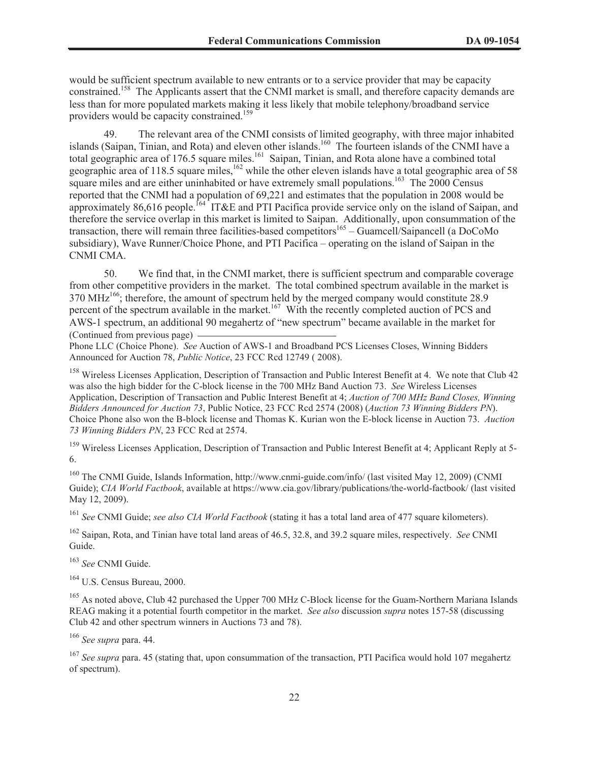would be sufficient spectrum available to new entrants or to a service provider that may be capacity constrained.<sup>158</sup> The Applicants assert that the CNMI market is small, and therefore capacity demands are less than for more populated markets making it less likely that mobile telephony/broadband service providers would be capacity constrained.<sup>159</sup>

49. The relevant area of the CNMI consists of limited geography, with three major inhabited islands (Saipan, Tinian, and Rota) and eleven other islands.<sup>160</sup> The fourteen islands of the CNMI have a total geographic area of 176.5 square miles.<sup>161</sup> Saipan, Tinian, and Rota alone have a combined total geographic area of 118.5 square miles,<sup>162</sup> while the other eleven islands have a total geographic area of 58 square miles and are either uninhabited or have extremely small populations.<sup>163</sup> The  $2000$  Census reported that the CNMI had a population of 69,221 and estimates that the population in 2008 would be approximately 86,616 people.<sup>164</sup> IT&E and PTI Pacifica provide service only on the island of Saipan, and therefore the service overlap in this market is limited to Saipan. Additionally, upon consummation of the transaction, there will remain three facilities-based competitors<sup>165</sup> – Guamcell/Saipancell (a DoCoMo subsidiary), Wave Runner/Choice Phone, and PTI Pacifica – operating on the island of Saipan in the CNMI CMA.

50. We find that, in the CNMI market, there is sufficient spectrum and comparable coverage from other competitive providers in the market. The total combined spectrum available in the market is 370 MHz<sup>166</sup>; therefore, the amount of spectrum held by the merged company would constitute 28.9 percent of the spectrum available in the market.<sup>167</sup> With the recently completed auction of PCS and AWS-1 spectrum, an additional 90 megahertz of "new spectrum" became available in the market for (Continued from previous page)

Phone LLC (Choice Phone). *See* Auction of AWS-1 and Broadband PCS Licenses Closes, Winning Bidders Announced for Auction 78, *Public Notice*, 23 FCC Rcd 12749 ( 2008).

<sup>158</sup> Wireless Licenses Application, Description of Transaction and Public Interest Benefit at 4. We note that Club 42 was also the high bidder for the C-block license in the 700 MHz Band Auction 73. *See* Wireless Licenses Application, Description of Transaction and Public Interest Benefit at 4; *Auction of 700 MHz Band Closes, Winning Bidders Announced for Auction 73*, Public Notice, 23 FCC Rcd 2574 (2008) (*Auction 73 Winning Bidders PN*). Choice Phone also won the B-block license and Thomas K. Kurian won the E-block license in Auction 73. *Auction 73 Winning Bidders PN*, 23 FCC Rcd at 2574.

<sup>159</sup> Wireless Licenses Application, Description of Transaction and Public Interest Benefit at 4; Applicant Reply at 5-6.

<sup>160</sup> The CNMI Guide, Islands Information, http://www.cnmi-guide.com/info/ (last visited May 12, 2009) (CNMI Guide); *CIA World Factbook*, available at https://www.cia.gov/library/publications/the-world-factbook/ (last visited May 12, 2009).

<sup>161</sup> *See* CNMI Guide; *see also CIA World Factbook* (stating it has a total land area of 477 square kilometers).

<sup>162</sup> Saipan, Rota, and Tinian have total land areas of 46.5, 32.8, and 39.2 square miles, respectively. *See* CNMI Guide.

<sup>163</sup> *See* CNMI Guide.

<sup>164</sup> U.S. Census Bureau, 2000.

<sup>165</sup> As noted above, Club 42 purchased the Upper 700 MHz C-Block license for the Guam-Northern Mariana Islands REAG making it a potential fourth competitor in the market. *See also* discussion *supra* notes 157-58 (discussing Club 42 and other spectrum winners in Auctions 73 and 78).

<sup>166</sup> *See supra* para. 44.

<sup>167</sup> *See supra* para. 45 (stating that, upon consummation of the transaction, PTI Pacifica would hold 107 megahertz of spectrum).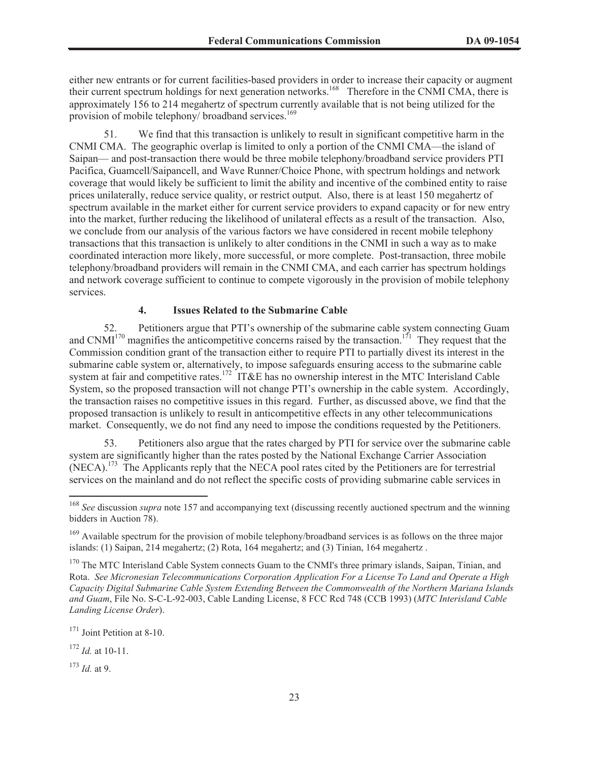either new entrants or for current facilities-based providers in order to increase their capacity or augment their current spectrum holdings for next generation networks.<sup>168</sup> Therefore in the CNMI CMA, there is approximately 156 to 214 megahertz of spectrum currently available that is not being utilized for the provision of mobile telephony/ broadband services.<sup>169</sup>

51. We find that this transaction is unlikely to result in significant competitive harm in the CNMI CMA. The geographic overlap is limited to only a portion of the CNMI CMA—the island of Saipan— and post-transaction there would be three mobile telephony/broadband service providers PTI Pacifica, Guamcell/Saipancell, and Wave Runner/Choice Phone, with spectrum holdings and network coverage that would likely be sufficient to limit the ability and incentive of the combined entity to raise prices unilaterally, reduce service quality, or restrict output. Also, there is at least 150 megahertz of spectrum available in the market either for current service providers to expand capacity or for new entry into the market, further reducing the likelihood of unilateral effects as a result of the transaction. Also, we conclude from our analysis of the various factors we have considered in recent mobile telephony transactions that this transaction is unlikely to alter conditions in the CNMI in such a way as to make coordinated interaction more likely, more successful, or more complete. Post-transaction, three mobile telephony/broadband providers will remain in the CNMI CMA, and each carrier has spectrum holdings and network coverage sufficient to continue to compete vigorously in the provision of mobile telephony services.

### **4. Issues Related to the Submarine Cable**

52. Petitioners argue that PTI's ownership of the submarine cable system connecting Guam and  $\text{CNMI}^{170}$  magnifies the anticompetitive concerns raised by the transaction.<sup>171</sup> They request that the Commission condition grant of the transaction either to require PTI to partially divest its interest in the submarine cable system or, alternatively, to impose safeguards ensuring access to the submarine cable system at fair and competitive rates.<sup>172</sup> IT&E has no ownership interest in the MTC Interisland Cable System, so the proposed transaction will not change PTI's ownership in the cable system. Accordingly, the transaction raises no competitive issues in this regard. Further, as discussed above, we find that the proposed transaction is unlikely to result in anticompetitive effects in any other telecommunications market. Consequently, we do not find any need to impose the conditions requested by the Petitioners.

53. Petitioners also argue that the rates charged by PTI for service over the submarine cable system are significantly higher than the rates posted by the National Exchange Carrier Association (NECA).<sup>173</sup> The Applicants reply that the NECA pool rates cited by the Petitioners are for terrestrial services on the mainland and do not reflect the specific costs of providing submarine cable services in

<sup>168</sup> *See* discussion *supra* note 157 and accompanying text (discussing recently auctioned spectrum and the winning bidders in Auction 78).

<sup>&</sup>lt;sup>169</sup> Available spectrum for the provision of mobile telephony/broadband services is as follows on the three major islands: (1) Saipan, 214 megahertz; (2) Rota, 164 megahertz; and (3) Tinian, 164 megahertz .

<sup>&</sup>lt;sup>170</sup> The MTC Interisland Cable System connects Guam to the CNMI's three primary islands, Saipan, Tinian, and Rota. *See Micronesian Telecommunications Corporation Application For a License To Land and Operate a High Capacity Digital Submarine Cable System Extending Between the Commonwealth of the Northern Mariana Islands and Guam*, File No. S-C-L-92-003, Cable Landing License, 8 FCC Rcd 748 (CCB 1993) (*MTC Interisland Cable Landing License Order*).

<sup>&</sup>lt;sup>171</sup> Joint Petition at 8-10.

<sup>172</sup> *Id.* at 10-11.

<sup>173</sup> *Id.* at 9.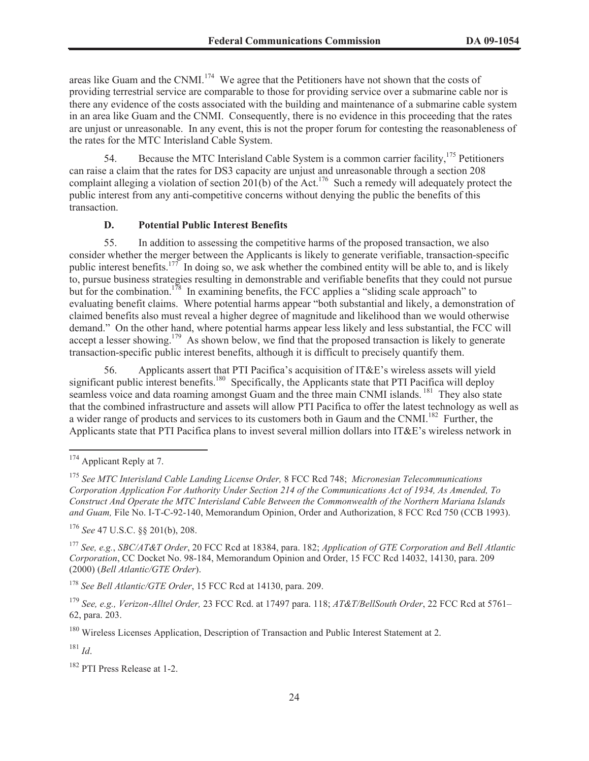areas like Guam and the CNMI.<sup>174</sup> We agree that the Petitioners have not shown that the costs of providing terrestrial service are comparable to those for providing service over a submarine cable nor is there any evidence of the costs associated with the building and maintenance of a submarine cable system in an area like Guam and the CNMI. Consequently, there is no evidence in this proceeding that the rates are unjust or unreasonable. In any event, this is not the proper forum for contesting the reasonableness of the rates for the MTC Interisland Cable System.

54. Because the MTC Interisland Cable System is a common carrier facility,<sup>175</sup> Petitioners can raise a claim that the rates for DS3 capacity are unjust and unreasonable through a section 208 complaint alleging a violation of section  $201(b)$  of the Act.<sup>176</sup> Such a remedy will adequately protect the public interest from any anti-competitive concerns without denying the public the benefits of this transaction.

# **D. Potential Public Interest Benefits**

55. In addition to assessing the competitive harms of the proposed transaction, we also consider whether the merger between the Applicants is likely to generate verifiable, transaction-specific public interest benefits.<sup>177</sup> In doing so, we ask whether the combined entity will be able to, and is likely to, pursue business strategies resulting in demonstrable and verifiable benefits that they could not pursue but for the combination.<sup>178</sup> In examining benefits, the FCC applies a "sliding scale approach" to evaluating benefit claims. Where potential harms appear "both substantial and likely, a demonstration of claimed benefits also must reveal a higher degree of magnitude and likelihood than we would otherwise demand." On the other hand, where potential harms appear less likely and less substantial, the FCC will accept a lesser showing.<sup>179</sup> As shown below, we find that the proposed transaction is likely to generate transaction-specific public interest benefits, although it is difficult to precisely quantify them.

56. Applicants assert that PTI Pacifica's acquisition of IT&E's wireless assets will yield significant public interest benefits.<sup>180</sup> Specifically, the Applicants state that PTI Pacifica will deploy seamless voice and data roaming amongst Guam and the three main CNMI islands.<sup>181</sup> They also state that the combined infrastructure and assets will allow PTI Pacifica to offer the latest technology as well as a wider range of products and services to its customers both in Gaum and the CNMI.<sup>182</sup> Further, the Applicants state that PTI Pacifica plans to invest several million dollars into IT&E's wireless network in

<sup>176</sup> *See* 47 U.S.C. §§ 201(b), 208.

<sup>177</sup> *See, e.g.*, *SBC/AT&T Order*, 20 FCC Rcd at 18384, para. 182; *Application of GTE Corporation and Bell Atlantic Corporation*, CC Docket No. 98-184, Memorandum Opinion and Order, 15 FCC Rcd 14032, 14130, para. 209 (2000) (*Bell Atlantic/GTE Order*).

<sup>178</sup> *See Bell Atlantic/GTE Order*, 15 FCC Rcd at 14130, para. 209.

<sup>180</sup> Wireless Licenses Application, Description of Transaction and Public Interest Statement at 2.

<sup>181</sup> *Id*.

<sup>182</sup> PTI Press Release at 1-2.

<sup>&</sup>lt;sup>174</sup> Applicant Reply at 7.

<sup>175</sup> *See MTC Interisland Cable Landing License Order,* 8 FCC Rcd 748; *Micronesian Telecommunications Corporation Application For Authority Under Section 214 of the Communications Act of 1934, As Amended, To Construct And Operate the MTC Interisland Cable Between the Commonwealth of the Northern Mariana Islands and Guam,* File No. I-T-C-92-140, Memorandum Opinion, Order and Authorization, 8 FCC Rcd 750 (CCB 1993).

<sup>179</sup> *See, e.g., Verizon-Alltel Order,* 23 FCC Rcd. at 17497 para. 118; *AT&T/BellSouth Order*, 22 FCC Rcd at 5761– 62, para. 203.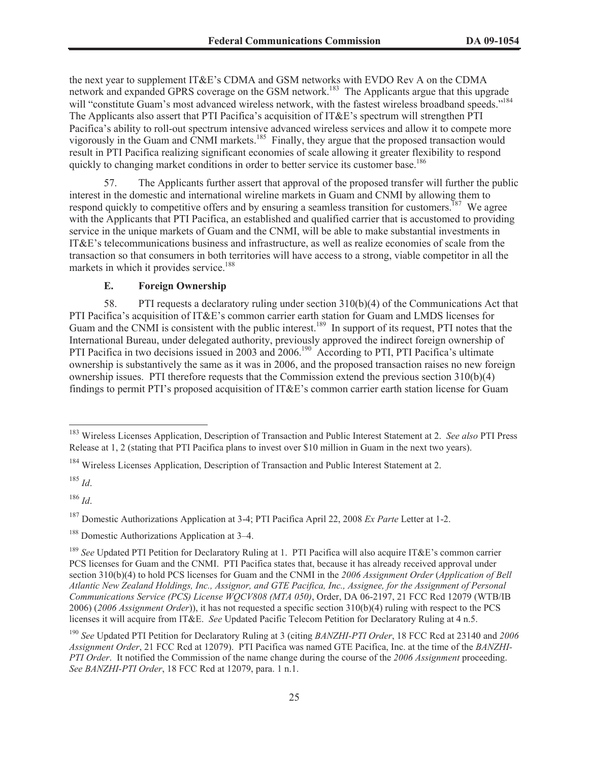the next year to supplement IT&E's CDMA and GSM networks with EVDO Rev A on the CDMA network and expanded GPRS coverage on the GSM network.<sup>183</sup> The Applicants argue that this upgrade will "constitute Guam's most advanced wireless network, with the fastest wireless broadband speeds."<sup>184</sup> The Applicants also assert that PTI Pacifica's acquisition of IT&E's spectrum will strengthen PTI Pacifica's ability to roll-out spectrum intensive advanced wireless services and allow it to compete more vigorously in the Guam and CNMI markets.<sup>185</sup> Finally, they argue that the proposed transaction would result in PTI Pacifica realizing significant economies of scale allowing it greater flexibility to respond quickly to changing market conditions in order to better service its customer base.<sup>186</sup>

57. The Applicants further assert that approval of the proposed transfer will further the public interest in the domestic and international wireline markets in Guam and CNMI by allowing them to respond quickly to competitive offers and by ensuring a seamless transition for customers.<sup>187</sup> We agree with the Applicants that PTI Pacifica, an established and qualified carrier that is accustomed to providing service in the unique markets of Guam and the CNMI, will be able to make substantial investments in IT&E's telecommunications business and infrastructure, as well as realize economies of scale from the transaction so that consumers in both territories will have access to a strong, viable competitor in all the markets in which it provides service.<sup>188</sup>

# **E. Foreign Ownership**

58. PTI requests a declaratory ruling under section 310(b)(4) of the Communications Act that PTI Pacifica's acquisition of IT&E's common carrier earth station for Guam and LMDS licenses for Guam and the CNMI is consistent with the public interest.<sup>189</sup> In support of its request, PTI notes that the International Bureau, under delegated authority, previously approved the indirect foreign ownership of PTI Pacifica in two decisions issued in 2003 and 2006.<sup>190</sup> According to PTI, PTI Pacifica's ultimate ownership is substantively the same as it was in 2006, and the proposed transaction raises no new foreign ownership issues. PTI therefore requests that the Commission extend the previous section 310(b)(4) findings to permit PTI's proposed acquisition of  $ITAE$ E's common carrier earth station license for Guam

<sup>185</sup> *Id*.

<sup>186</sup> *Id*.

<sup>183</sup> Wireless Licenses Application, Description of Transaction and Public Interest Statement at 2. *See also* PTI Press Release at 1, 2 (stating that PTI Pacifica plans to invest over \$10 million in Guam in the next two years).

<sup>&</sup>lt;sup>184</sup> Wireless Licenses Application, Description of Transaction and Public Interest Statement at 2.

<sup>187</sup> Domestic Authorizations Application at 3-4; PTI Pacifica April 22, 2008 *Ex Parte* Letter at 1-2.

<sup>&</sup>lt;sup>188</sup> Domestic Authorizations Application at 3–4.

<sup>189</sup> *See* Updated PTI Petition for Declaratory Ruling at 1. PTI Pacifica will also acquire IT&E's common carrier PCS licenses for Guam and the CNMI. PTI Pacifica states that, because it has already received approval under section 310(b)(4) to hold PCS licenses for Guam and the CNMI in the *2006 Assignment Order* (*Application of Bell Atlantic New Zealand Holdings, Inc., Assignor, and GTE Pacifica, Inc., Assignee, for the Assignment of Personal Communications Service (PCS) License WQCV808 (MTA 050)*, Order, DA 06-2197, 21 FCC Rcd 12079 (WTB/IB 2006) (*2006 Assignment Order*)), it has not requested a specific section 310(b)(4) ruling with respect to the PCS licenses it will acquire from IT&E. *See* Updated Pacific Telecom Petition for Declaratory Ruling at 4 n.5.

<sup>190</sup> *See* Updated PTI Petition for Declaratory Ruling at 3 (citing *BANZHI-PTI Order*, 18 FCC Rcd at 23140 and *2006 Assignment Order*, 21 FCC Rcd at 12079). PTI Pacifica was named GTE Pacifica, Inc. at the time of the *BANZHI-PTI Order*. It notified the Commission of the name change during the course of the *2006 Assignment* proceeding. *See BANZHI-PTI Order*, 18 FCC Rcd at 12079, para. 1 n.1.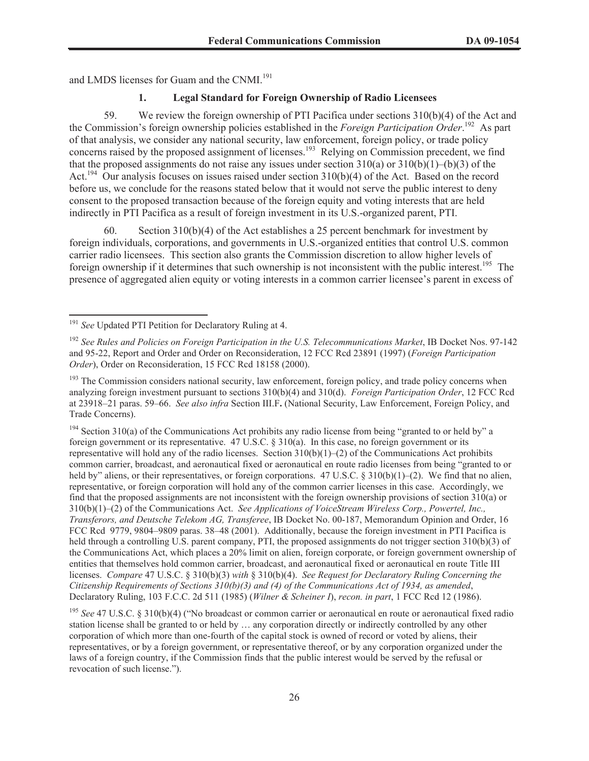and LMDS licenses for Guam and the CNMI.<sup>191</sup>

## **1. Legal Standard for Foreign Ownership of Radio Licensees**

59. We review the foreign ownership of PTI Pacifica under sections 310(b)(4) of the Act and the Commission's foreign ownership policies established in the *Foreign Participation Order*. <sup>192</sup> As part of that analysis, we consider any national security, law enforcement, foreign policy, or trade policy concerns raised by the proposed assignment of licenses.<sup>193</sup> Relying on Commission precedent, we find that the proposed assignments do not raise any issues under section  $310(a)$  or  $310(b)(1)$ –(b)(3) of the Act.<sup>194</sup> Our analysis focuses on issues raised under section 310(b)(4) of the Act. Based on the record before us, we conclude for the reasons stated below that it would not serve the public interest to deny consent to the proposed transaction because of the foreign equity and voting interests that are held indirectly in PTI Pacifica as a result of foreign investment in its U.S.-organized parent, PTI.

60. Section  $310(b)(4)$  of the Act establishes a 25 percent benchmark for investment by foreign individuals, corporations, and governments in U.S.-organized entities that control U.S. common carrier radio licensees. This section also grants the Commission discretion to allow higher levels of foreign ownership if it determines that such ownership is not inconsistent with the public interest.<sup>195</sup> The presence of aggregated alien equity or voting interests in a common carrier licensee's parent in excess of

 $194$  Section 310(a) of the Communications Act prohibits any radio license from being "granted to or held by" a foreign government or its representative. 47 U.S.C. § 310(a). In this case, no foreign government or its representative will hold any of the radio licenses. Section  $310(b)(1)$ –(2) of the Communications Act prohibits common carrier, broadcast, and aeronautical fixed or aeronautical en route radio licenses from being "granted to or held by" aliens, or their representatives, or foreign corporations. 47 U.S.C. § 310(b)(1)–(2). We find that no alien, representative, or foreign corporation will hold any of the common carrier licenses in this case. Accordingly, we find that the proposed assignments are not inconsistent with the foreign ownership provisions of section 310(a) or 310(b)(1)–(2) of the Communications Act. *See Applications of VoiceStream Wireless Corp., Powertel, Inc., Transferors, and Deutsche Telekom AG, Transferee*, IB Docket No. 00-187, Memorandum Opinion and Order, 16 FCC Rcd 9779, 9804–9809 paras. 38–48 (2001). Additionally, because the foreign investment in PTI Pacifica is held through a controlling U.S. parent company, PTI, the proposed assignments do not trigger section 310(b)(3) of the Communications Act, which places a 20% limit on alien, foreign corporate, or foreign government ownership of entities that themselves hold common carrier, broadcast, and aeronautical fixed or aeronautical en route Title III licenses. *Compare* 47 U.S.C. § 310(b)(3) *with* § 310(b)(4). *See Request for Declaratory Ruling Concerning the Citizenship Requirements of Sections 310(b)(3) and (4) of the Communications Act of 1934, as amended*, Declaratory Ruling, 103 F.C.C. 2d 511 (1985) (*Wilner & Scheiner I*), *recon. in part*, 1 FCC Rcd 12 (1986).

<sup>195</sup> *See* 47 U.S.C. § 310(b)(4) ("No broadcast or common carrier or aeronautical en route or aeronautical fixed radio station license shall be granted to or held by … any corporation directly or indirectly controlled by any other corporation of which more than one-fourth of the capital stock is owned of record or voted by aliens, their representatives, or by a foreign government, or representative thereof, or by any corporation organized under the laws of a foreign country, if the Commission finds that the public interest would be served by the refusal or revocation of such license.").

<sup>191</sup> *See* Updated PTI Petition for Declaratory Ruling at 4.

<sup>192</sup> *See Rules and Policies on Foreign Participation in the U.S. Telecommunications Market*, IB Docket Nos. 97-142 and 95-22, Report and Order and Order on Reconsideration, 12 FCC Rcd 23891 (1997) (*Foreign Participation Order*), Order on Reconsideration, 15 FCC Rcd 18158 (2000).

<sup>&</sup>lt;sup>193</sup> The Commission considers national security, law enforcement, foreign policy, and trade policy concerns when analyzing foreign investment pursuant to sections 310(b)(4) and 310(d). *Foreign Participation Order*, 12 FCC Rcd at 23918–21 paras. 59–66. *See also infra* Section III.F**.** (National Security, Law Enforcement, Foreign Policy, and Trade Concerns).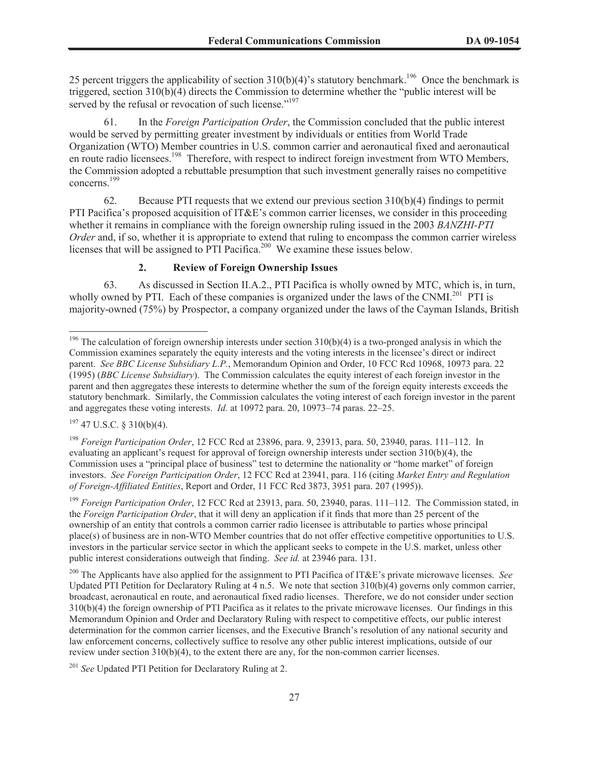25 percent triggers the applicability of section  $310(b)(4)$ 's statutory benchmark.<sup>196</sup> Once the benchmark is triggered, section 310(b)(4) directs the Commission to determine whether the "public interest will be served by the refusal or revocation of such license."<sup>197</sup>

61. In the *Foreign Participation Order*, the Commission concluded that the public interest would be served by permitting greater investment by individuals or entities from World Trade Organization (WTO) Member countries in U.S. common carrier and aeronautical fixed and aeronautical en route radio licensees.<sup>198</sup> Therefore, with respect to indirect foreign investment from WTO Members, the Commission adopted a rebuttable presumption that such investment generally raises no competitive concerns.<sup>199</sup>

62. Because PTI requests that we extend our previous section 310(b)(4) findings to permit PTI Pacifica's proposed acquisition of IT&E's common carrier licenses, we consider in this proceeding whether it remains in compliance with the foreign ownership ruling issued in the 2003 *BANZHI-PTI Order* and, if so, whether it is appropriate to extend that ruling to encompass the common carrier wireless licenses that will be assigned to PTI Pacifica.<sup>200</sup> We examine these issues below.

# **2. Review of Foreign Ownership Issues**

63. As discussed in Section II.A.2., PTI Pacifica is wholly owned by MTC, which is, in turn, wholly owned by PTI. Each of these companies is organized under the laws of the CNMI.<sup>201</sup> PTI is majority-owned (75%) by Prospector, a company organized under the laws of the Cayman Islands, British

 $197$  47 U.S.C. § 310(b)(4).

<sup>198</sup> *Foreign Participation Order*, 12 FCC Rcd at 23896, para. 9, 23913, para. 50, 23940, paras. 111–112. In evaluating an applicant's request for approval of foreign ownership interests under section 310(b)(4), the Commission uses a "principal place of business" test to determine the nationality or "home market" of foreign investors. *See Foreign Participation Order*, 12 FCC Rcd at 23941, para. 116 (citing *Market Entry and Regulation of Foreign-Affiliated Entities*, Report and Order, 11 FCC Rcd 3873, 3951 para. 207 (1995)).

<sup>199</sup> *Foreign Participation Order*, 12 FCC Rcd at 23913, para. 50, 23940, paras. 111–112. The Commission stated, in the *Foreign Participation Order*, that it will deny an application if it finds that more than 25 percent of the ownership of an entity that controls a common carrier radio licensee is attributable to parties whose principal place(s) of business are in non-WTO Member countries that do not offer effective competitive opportunities to U.S. investors in the particular service sector in which the applicant seeks to compete in the U.S. market, unless other public interest considerations outweigh that finding. *See id.* at 23946 para. 131.

<sup>200</sup> The Applicants have also applied for the assignment to PTI Pacifica of IT&E's private microwave licenses. *See*  Updated PTI Petition for Declaratory Ruling at 4 n.5. We note that section 310(b)(4) governs only common carrier, broadcast, aeronautical en route, and aeronautical fixed radio licenses. Therefore, we do not consider under section 310(b)(4) the foreign ownership of PTI Pacifica as it relates to the private microwave licenses. Our findings in this Memorandum Opinion and Order and Declaratory Ruling with respect to competitive effects, our public interest determination for the common carrier licenses, and the Executive Branch's resolution of any national security and law enforcement concerns, collectively suffice to resolve any other public interest implications, outside of our review under section 310(b)(4), to the extent there are any, for the non-common carrier licenses.

<sup>&</sup>lt;sup>196</sup> The calculation of foreign ownership interests under section  $310(b)(4)$  is a two-pronged analysis in which the Commission examines separately the equity interests and the voting interests in the licensee's direct or indirect parent. *See BBC License Subsidiary L.P.*, Memorandum Opinion and Order, 10 FCC Rcd 10968, 10973 para. 22 (1995) (*BBC License Subsidiary*). The Commission calculates the equity interest of each foreign investor in the parent and then aggregates these interests to determine whether the sum of the foreign equity interests exceeds the statutory benchmark. Similarly, the Commission calculates the voting interest of each foreign investor in the parent and aggregates these voting interests. *Id.* at 10972 para. 20, 10973–74 paras. 22–25.

<sup>201</sup> *See* Updated PTI Petition for Declaratory Ruling at 2.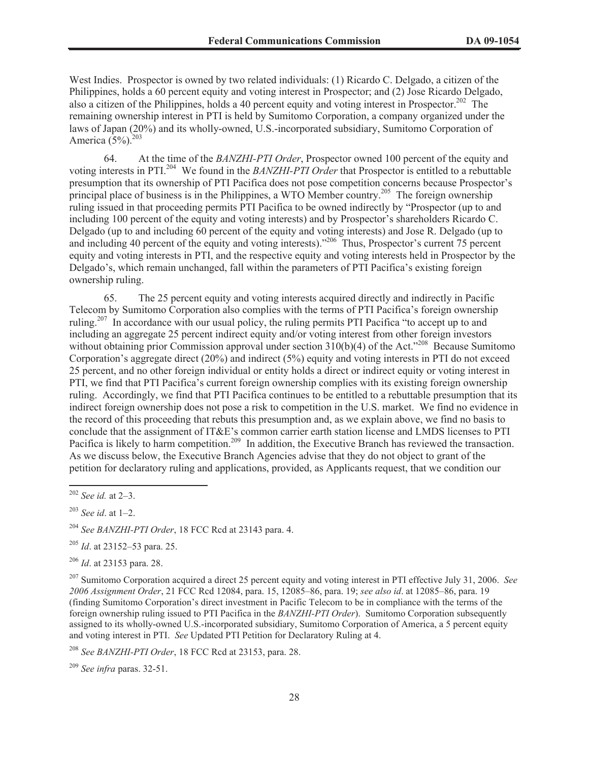West Indies. Prospector is owned by two related individuals: (1) Ricardo C. Delgado, a citizen of the Philippines, holds a 60 percent equity and voting interest in Prospector; and (2) Jose Ricardo Delgado, also a citizen of the Philippines, holds a 40 percent equity and voting interest in Prospector.<sup>202</sup> The remaining ownership interest in PTI is held by Sumitomo Corporation, a company organized under the laws of Japan (20%) and its wholly-owned, U.S.-incorporated subsidiary, Sumitomo Corporation of America  $(5%)$ .<sup>203</sup>

64. At the time of the *BANZHI-PTI Order*, Prospector owned 100 percent of the equity and voting interests in PTI.<sup>204</sup> We found in the *BANZHI-PTI Order* that Prospector is entitled to a rebuttable presumption that its ownership of PTI Pacifica does not pose competition concerns because Prospector's principal place of business is in the Philippines, a WTO Member country.<sup>205</sup> The foreign ownership ruling issued in that proceeding permits PTI Pacifica to be owned indirectly by "Prospector (up to and including 100 percent of the equity and voting interests) and by Prospector's shareholders Ricardo C. Delgado (up to and including 60 percent of the equity and voting interests) and Jose R. Delgado (up to and including 40 percent of the equity and voting interests)."<sup>206</sup> Thus, Prospector's current 75 percent equity and voting interests in PTI, and the respective equity and voting interests held in Prospector by the Delgado's, which remain unchanged, fall within the parameters of PTI Pacifica's existing foreign ownership ruling.

65. The 25 percent equity and voting interests acquired directly and indirectly in Pacific Telecom by Sumitomo Corporation also complies with the terms of PTI Pacifica's foreign ownership ruling.<sup>207</sup> In accordance with our usual policy, the ruling permits PTI Pacifica "to accept up to and including an aggregate 25 percent indirect equity and/or voting interest from other foreign investors without obtaining prior Commission approval under section  $310(b)(4)$  of the Act."<sup>208</sup> Because Sumitomo Corporation's aggregate direct (20%) and indirect (5%) equity and voting interests in PTI do not exceed 25 percent, and no other foreign individual or entity holds a direct or indirect equity or voting interest in PTI, we find that PTI Pacifica's current foreign ownership complies with its existing foreign ownership ruling. Accordingly, we find that PTI Pacifica continues to be entitled to a rebuttable presumption that its indirect foreign ownership does not pose a risk to competition in the U.S. market. We find no evidence in the record of this proceeding that rebuts this presumption and, as we explain above, we find no basis to conclude that the assignment of IT&E's common carrier earth station license and LMDS licenses to PTI Pacifica is likely to harm competition.<sup>209</sup> In addition, the Executive Branch has reviewed the transaction. As we discuss below, the Executive Branch Agencies advise that they do not object to grant of the petition for declaratory ruling and applications, provided, as Applicants request, that we condition our

<sup>205</sup> *Id*. at 23152–53 para. 25.

<sup>206</sup> *Id*. at 23153 para. 28.

<sup>207</sup> Sumitomo Corporation acquired a direct 25 percent equity and voting interest in PTI effective July 31, 2006. *See 2006 Assignment Order*, 21 FCC Rcd 12084, para. 15, 12085–86, para. 19; *see also id*. at 12085–86, para. 19 (finding Sumitomo Corporation's direct investment in Pacific Telecom to be in compliance with the terms of the foreign ownership ruling issued to PTI Pacifica in the *BANZHI-PTI Order*). Sumitomo Corporation subsequently assigned to its wholly-owned U.S.-incorporated subsidiary, Sumitomo Corporation of America, a 5 percent equity and voting interest in PTI. *See* Updated PTI Petition for Declaratory Ruling at 4.

<sup>208</sup> *See BANZHI-PTI Order*, 18 FCC Rcd at 23153, para. 28.

<sup>209</sup> *See infra* paras. 32-51.

<sup>202</sup> *See id.* at 2–3.

<sup>203</sup> *See id*. at 1–2.

<sup>204</sup> *See BANZHI-PTI Order*, 18 FCC Rcd at 23143 para. 4.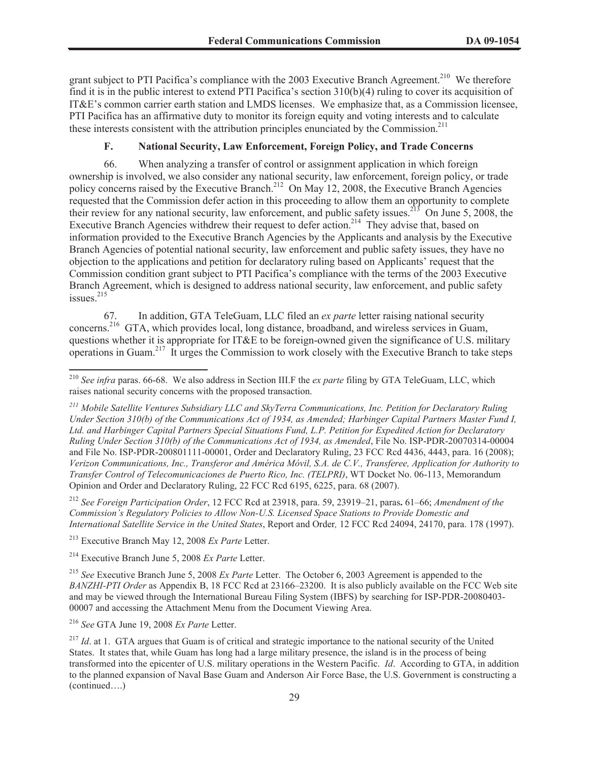grant subject to PTI Pacifica's compliance with the 2003 Executive Branch Agreement.<sup>210</sup> We therefore find it is in the public interest to extend PTI Pacifica's section 310(b)(4) ruling to cover its acquisition of IT&E's common carrier earth station and LMDS licenses. We emphasize that, as a Commission licensee, PTI Pacifica has an affirmative duty to monitor its foreign equity and voting interests and to calculate these interests consistent with the attribution principles enunciated by the Commission.<sup>211</sup>

# **F. National Security, Law Enforcement, Foreign Policy, and Trade Concerns**

66. When analyzing a transfer of control or assignment application in which foreign ownership is involved, we also consider any national security, law enforcement, foreign policy, or trade policy concerns raised by the Executive Branch.<sup>212</sup> On May 12, 2008, the Executive Branch Agencies requested that the Commission defer action in this proceeding to allow them an opportunity to complete their review for any national security, law enforcement, and public safety issues.<sup>213</sup> On June 5, 2008, the Executive Branch Agencies withdrew their request to defer action.<sup>214</sup> They advise that, based on information provided to the Executive Branch Agencies by the Applicants and analysis by the Executive Branch Agencies of potential national security, law enforcement and public safety issues, they have no objection to the applications and petition for declaratory ruling based on Applicants' request that the Commission condition grant subject to PTI Pacifica's compliance with the terms of the 2003 Executive Branch Agreement, which is designed to address national security, law enforcement, and public safety issues. $215$ 

67. In addition, GTA TeleGuam, LLC filed an *ex parte* letter raising national security concerns.<sup>216</sup> GTA, which provides local, long distance, broadband, and wireless services in Guam, questions whether it is appropriate for IT&E to be foreign-owned given the significance of U.S. military operations in Guam.<sup>217</sup> It urges the Commission to work closely with the Executive Branch to take steps

<sup>212</sup> *See Foreign Participation Order*, 12 FCC Rcd at 23918, para. 59, 23919–21, paras**.** 61–66; *Amendment of the Commission's Regulatory Policies to Allow Non-U.S. Licensed Space Stations to Provide Domestic and International Satellite Service in the United States*, Report and Order*,* 12 FCC Rcd 24094, 24170, para. 178 (1997).

<sup>213</sup> Executive Branch May 12, 2008 *Ex Parte* Letter.

<sup>214</sup> Executive Branch June 5, 2008 *Ex Parte* Letter.

<sup>215</sup> *See* Executive Branch June 5, 2008 *Ex Parte* Letter. The October 6, 2003 Agreement is appended to the *BANZHI-PTI Order* as Appendix B, 18 FCC Rcd at 23166–23200. It is also publicly available on the FCC Web site and may be viewed through the International Bureau Filing System (IBFS) by searching for ISP-PDR-20080403- 00007 and accessing the Attachment Menu from the Document Viewing Area.

<sup>216</sup> *See* GTA June 19, 2008 *Ex Parte* Letter.

<sup>210</sup> *See infra* paras. 66-68. We also address in Section III.F the *ex parte* filing by GTA TeleGuam, LLC, which raises national security concerns with the proposed transaction.

*<sup>211</sup> Mobile Satellite Ventures Subsidiary LLC and SkyTerra Communications, Inc. Petition for Declaratory Ruling Under Section 310(b) of the Communications Act of 1934, as Amended; Harbinger Capital Partners Master Fund I, Ltd. and Harbinger Capital Partners Special Situations Fund, L.P. Petition for Expedited Action for Declaratory Ruling Under Section 310(b) of the Communications Act of 1934, as Amended*, File No. ISP-PDR-20070314-00004 and File No. ISP-PDR-200801111-00001, Order and Declaratory Ruling, 23 FCC Rcd 4436, 4443, para. 16 (2008); *Verizon Communications, Inc., Transferor and América Móvil, S.A. de C.V., Transferee, Application for Authority to Transfer Control of Telecomunicaciones de Puerto Rico, Inc. (TELPRI)*, WT Docket No. 06-113, Memorandum Opinion and Order and Declaratory Ruling, 22 FCC Rcd 6195, 6225, para. 68 (2007).

<sup>&</sup>lt;sup>217</sup> *Id.* at 1. GTA argues that Guam is of critical and strategic importance to the national security of the United States. It states that, while Guam has long had a large military presence, the island is in the process of being transformed into the epicenter of U.S. military operations in the Western Pacific. *Id*. According to GTA, in addition to the planned expansion of Naval Base Guam and Anderson Air Force Base, the U.S. Government is constructing a (continued….)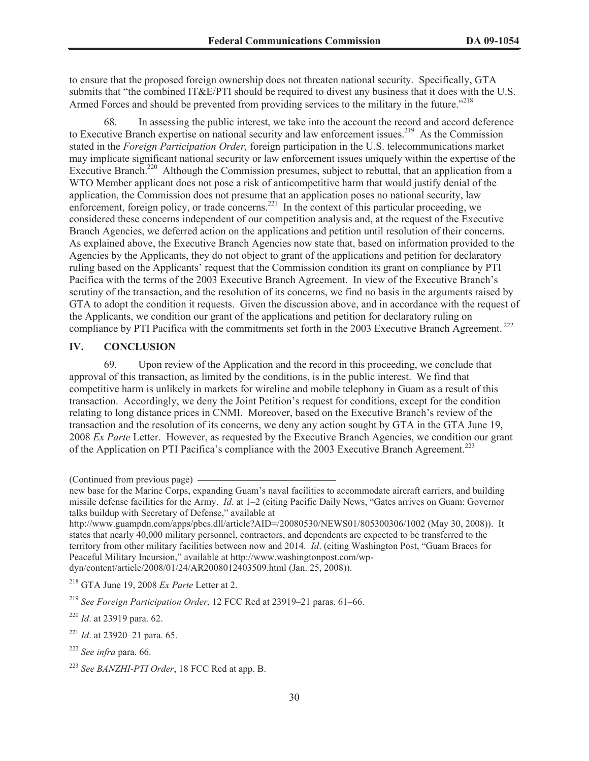to ensure that the proposed foreign ownership does not threaten national security. Specifically, GTA submits that "the combined IT&E/PTI should be required to divest any business that it does with the U.S. Armed Forces and should be prevented from providing services to the military in the future.<sup>7218</sup>

68. In assessing the public interest, we take into the account the record and accord deference to Executive Branch expertise on national security and law enforcement issues.<sup>219</sup> As the Commission stated in the *Foreign Participation Order,* foreign participation in the U.S. telecommunications market may implicate significant national security or law enforcement issues uniquely within the expertise of the Executive Branch.<sup>220</sup> Although the Commission presumes, subject to rebuttal, that an application from a WTO Member applicant does not pose a risk of anticompetitive harm that would justify denial of the application, the Commission does not presume that an application poses no national security, law enforcement, foreign policy, or trade concerns.<sup>221</sup> In the context of this particular proceeding, we considered these concerns independent of our competition analysis and, at the request of the Executive Branch Agencies, we deferred action on the applications and petition until resolution of their concerns. As explained above, the Executive Branch Agencies now state that, based on information provided to the Agencies by the Applicants, they do not object to grant of the applications and petition for declaratory ruling based on the Applicants' request that the Commission condition its grant on compliance by PTI Pacifica with the terms of the 2003 Executive Branch Agreement. In view of the Executive Branch's scrutiny of the transaction, and the resolution of its concerns, we find no basis in the arguments raised by GTA to adopt the condition it requests. Given the discussion above, and in accordance with the request of the Applicants, we condition our grant of the applications and petition for declaratory ruling on compliance by PTI Pacifica with the commitments set forth in the 2003 Executive Branch Agreement.<sup>222</sup>

# **IV. CONCLUSION**

69. Upon review of the Application and the record in this proceeding, we conclude that approval of this transaction, as limited by the conditions, is in the public interest. We find that competitive harm is unlikely in markets for wireline and mobile telephony in Guam as a result of this transaction. Accordingly, we deny the Joint Petition's request for conditions, except for the condition relating to long distance prices in CNMI. Moreover, based on the Executive Branch's review of the transaction and the resolution of its concerns, we deny any action sought by GTA in the GTA June 19, 2008 *Ex Parte* Letter. However, as requested by the Executive Branch Agencies, we condition our grant of the Application on PTI Pacifica's compliance with the 2003 Executive Branch Agreement.<sup>223</sup>

<sup>(</sup>Continued from previous page)

new base for the Marine Corps, expanding Guam's naval facilities to accommodate aircraft carriers, and building missile defense facilities for the Army. *Id*. at 1–2 (citing Pacific Daily News, "Gates arrives on Guam: Governor talks buildup with Secretary of Defense," available at

http://www.guampdn.com/apps/pbcs.dll/article?AID=/20080530/NEWS01/805300306/1002 (May 30, 2008)). It states that nearly 40,000 military personnel, contractors, and dependents are expected to be transferred to the territory from other military facilities between now and 2014. *Id*. (citing Washington Post, "Guam Braces for Peaceful Military Incursion," available at http://www.washingtonpost.com/wpdyn/content/article/2008/01/24/AR2008012403509.html (Jan. 25, 2008)).

<sup>218</sup> GTA June 19, 2008 *Ex Parte* Letter at 2.

<sup>219</sup> *See Foreign Participation Order*, 12 FCC Rcd at 23919–21 paras. 61–66.

<sup>220</sup> *Id*. at 23919 para. 62.

<sup>221</sup> *Id*. at 23920–21 para. 65.

<sup>222</sup> *See infra* para. 66.

<sup>223</sup> *See BANZHI-PTI Order*, 18 FCC Rcd at app. B.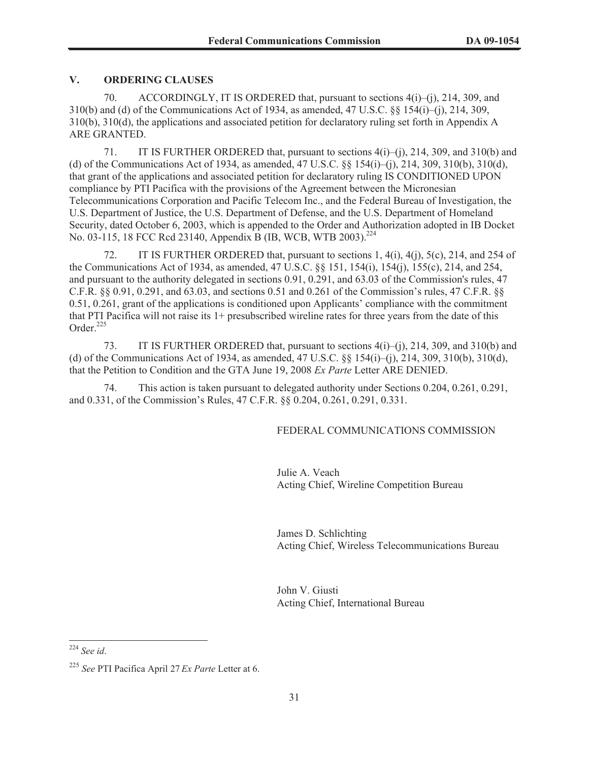# **V. ORDERING CLAUSES**

70. ACCORDINGLY, IT IS ORDERED that, pursuant to sections 4(i)–(j), 214, 309, and 310(b) and (d) of the Communications Act of 1934, as amended, 47 U.S.C. §§ 154(i)–(j), 214, 309, 310(b), 310(d), the applications and associated petition for declaratory ruling set forth in Appendix A ARE GRANTED.

71. IT IS FURTHER ORDERED that, pursuant to sections 4(i)–(j), 214, 309, and 310(b) and (d) of the Communications Act of 1934, as amended, 47 U.S.C. §§ 154(i)–(j), 214, 309, 310(b), 310(d), that grant of the applications and associated petition for declaratory ruling IS CONDITIONED UPON compliance by PTI Pacifica with the provisions of the Agreement between the Micronesian Telecommunications Corporation and Pacific Telecom Inc., and the Federal Bureau of Investigation, the U.S. Department of Justice, the U.S. Department of Defense, and the U.S. Department of Homeland Security, dated October 6, 2003, which is appended to the Order and Authorization adopted in IB Docket No. 03-115, 18 FCC Rcd 23140, Appendix B (IB, WCB, WTB 2003).<sup>224</sup>

72. IT IS FURTHER ORDERED that, pursuant to sections 1, 4(i), 4(j), 5(c), 214, and 254 of the Communications Act of 1934, as amended, 47 U.S.C. §§ 151, 154(i), 154(j), 155(c), 214, and 254, and pursuant to the authority delegated in sections 0.91, 0.291, and 63.03 of the Commission's rules, 47 C.F.R. §§ 0.91, 0.291, and 63.03, and sections 0.51 and 0.261 of the Commission's rules, 47 C.F.R. §§ 0.51, 0.261, grant of the applications is conditioned upon Applicants' compliance with the commitment that PTI Pacifica will not raise its 1+ presubscribed wireline rates for three years from the date of this Order $225$ 

73. IT IS FURTHER ORDERED that, pursuant to sections 4(i)–(j), 214, 309, and 310(b) and (d) of the Communications Act of 1934, as amended, 47 U.S.C. §§ 154(i)–(j), 214, 309, 310(b), 310(d), that the Petition to Condition and the GTA June 19, 2008 *Ex Parte* Letter ARE DENIED.

74. This action is taken pursuant to delegated authority under Sections 0.204, 0.261, 0.291, and 0.331, of the Commission's Rules, 47 C.F.R. §§ 0.204, 0.261, 0.291, 0.331.

### FEDERAL COMMUNICATIONS COMMISSION

Julie A. Veach Acting Chief, Wireline Competition Bureau

James D. Schlichting Acting Chief, Wireless Telecommunications Bureau

John V. Giusti Acting Chief, International Bureau

<sup>224</sup> *See id*.

<sup>225</sup> *See* PTI Pacifica April 27 *Ex Parte* Letter at 6.